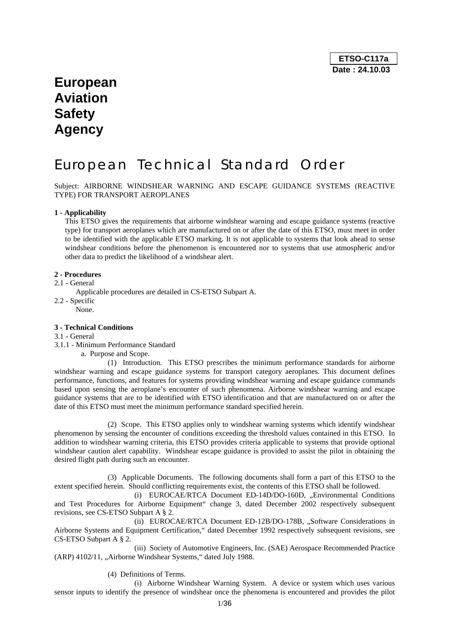# **European Aviation Safety Agency**

# European Technical Standard Order

Subject: AIRBORNE WINDSHEAR WARNING AND ESCAPE GUIDANCE SYSTEMS (REACTIVE TYPE) FOR TRANSPORT AEROPLANES

# **1 - Applicability**

This ETSO gives the requirements that airborne windshear warning and escape guidance systems (reactive type) for transport aeroplanes which are manufactured on or after the date of this ETSO, must meet in order to be identified with the applicable ETSO marking. It is not applicable to systems that look ahead to sense windshear conditions before the phenomenon is encountered nor to systems that use atmospheric and/or other data to predict the likelihood of a windshear alert.

## **2 - Procedures**

## 2.1 - General

Applicable procedures are detailed in CS-ETSO Subpart A.

- 2.2 Specific
	- None.

## **3 - Technical Conditions**

- 3.1 General
- 3.1.1 Minimum Performance Standard
	- a. Purpose and Scope.

 (1) Introduction. This ETSO prescribes the minimum performance standards for airborne windshear warning and escape guidance systems for transport category aeroplanes. This document defines performance, functions, and features for systems providing windshear warning and escape guidance commands based upon sensing the aeroplane's encounter of such phenomena. Airborne windshear warning and escape guidance systems that are to be identified with ETSO identification and that are manufactured on or after the date of this ETSO must meet the minimum performance standard specified herein.

 (2) Scope. This ETSO applies only to windshear warning systems which identify windshear phenomenon by sensing the encounter of conditions exceeding the threshold values contained in this ETSO. In addition to windshear warning criteria, this ETSO provides criteria applicable to systems that provide optional windshear caution alert capability. Windshear escape guidance is provided to assist the pilot in obtaining the desired flight path during such an encounter.

 (3) Applicable Documents. The following documents shall form a part of this ETSO to the extent specified herein. Should conflicting requirements exist, the contents of this ETSO shall be followed.

(i) EUROCAE/RTCA Document ED-14D/DO-160D, "Environmental Conditions and Test Procedures for Airborne Equipment" change 3, dated December 2002 respectively subsequent revisions, see CS-ETSO Subpart A § 2.

(ii) EUROCAE/RTCA Document ED-12B/DO-178B, "Software Considerations in Airborne Systems and Equipment Certification," dated December 1992 respectively subsequent revisions, see CS-ETSO Subpart A § 2.

 (iii) Society of Automotive Engineers, Inc. (SAE) Aerospace Recommended Practice (ARP) 4102/11, "Airborne Windshear Systems," dated July 1988.

(4) Definitions of Terms.

 (i) Airborne Windshear Warning System. A device or system which uses various sensor inputs to identify the presence of windshear once the phenomena is encountered and provides the pilot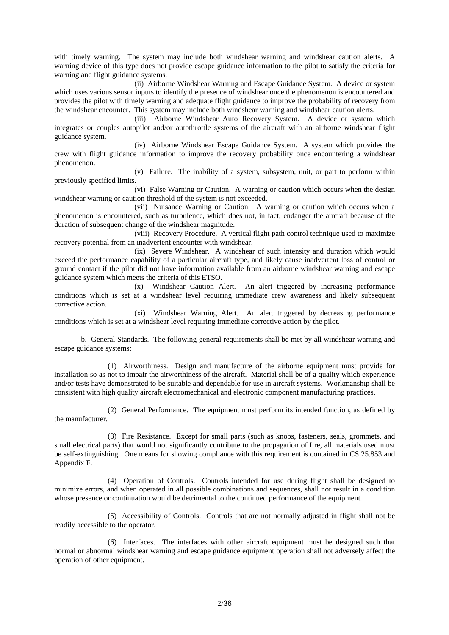with timely warning. The system may include both windshear warning and windshear caution alerts. A warning device of this type does not provide escape guidance information to the pilot to satisfy the criteria for warning and flight guidance systems.

 (ii) Airborne Windshear Warning and Escape Guidance System. A device or system which uses various sensor inputs to identify the presence of windshear once the phenomenon is encountered and provides the pilot with timely warning and adequate flight guidance to improve the probability of recovery from the windshear encounter. This system may include both windshear warning and windshear caution alerts.

 (iii) Airborne Windshear Auto Recovery System. A device or system which integrates or couples autopilot and/or autothrottle systems of the aircraft with an airborne windshear flight guidance system.

 (iv) Airborne Windshear Escape Guidance System. A system which provides the crew with flight guidance information to improve the recovery probability once encountering a windshear phenomenon.

 (v) Failure. The inability of a system, subsystem, unit, or part to perform within previously specified limits.

 (vi) False Warning or Caution. A warning or caution which occurs when the design windshear warning or caution threshold of the system is not exceeded.

 (vii) Nuisance Warning or Caution. A warning or caution which occurs when a phenomenon is encountered, such as turbulence, which does not, in fact, endanger the aircraft because of the duration of subsequent change of the windshear magnitude.

 (viii) Recovery Procedure. A vertical flight path control technique used to maximize recovery potential from an inadvertent encounter with windshear.

 (ix) Severe Windshear. A windshear of such intensity and duration which would exceed the performance capability of a particular aircraft type, and likely cause inadvertent loss of control or ground contact if the pilot did not have information available from an airborne windshear warning and escape guidance system which meets the criteria of this ETSO.

 (x) Windshear Caution Alert. An alert triggered by increasing performance conditions which is set at a windshear level requiring immediate crew awareness and likely subsequent corrective action.

 (xi) Windshear Warning Alert. An alert triggered by decreasing performance conditions which is set at a windshear level requiring immediate corrective action by the pilot.

 b. General Standards. The following general requirements shall be met by all windshear warning and escape guidance systems:

 (1) Airworthiness. Design and manufacture of the airborne equipment must provide for installation so as not to impair the airworthiness of the aircraft. Material shall be of a quality which experience and/or tests have demonstrated to be suitable and dependable for use in aircraft systems. Workmanship shall be consistent with high quality aircraft electromechanical and electronic component manufacturing practices.

 (2) General Performance. The equipment must perform its intended function, as defined by the manufacturer.

 (3) Fire Resistance. Except for small parts (such as knobs, fasteners, seals, grommets, and small electrical parts) that would not significantly contribute to the propagation of fire, all materials used must be self-extinguishing. One means for showing compliance with this requirement is contained in CS 25.853 and Appendix F.

 (4) Operation of Controls. Controls intended for use during flight shall be designed to minimize errors, and when operated in all possible combinations and sequences, shall not result in a condition whose presence or continuation would be detrimental to the continued performance of the equipment.

 (5) Accessibility of Controls. Controls that are not normally adjusted in flight shall not be readily accessible to the operator.

 (6) Interfaces. The interfaces with other aircraft equipment must be designed such that normal or abnormal windshear warning and escape guidance equipment operation shall not adversely affect the operation of other equipment.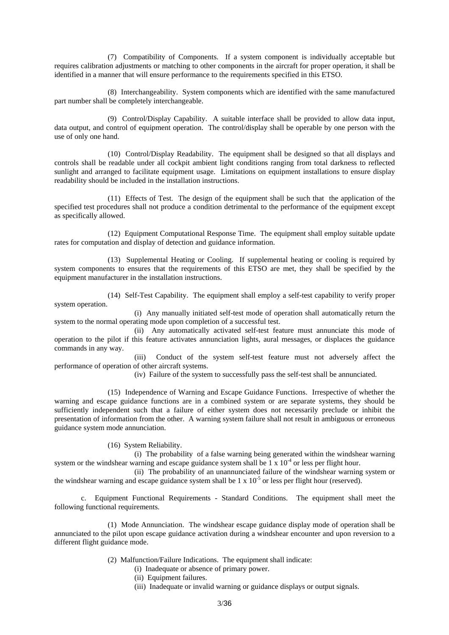(7) Compatibility of Components. If a system component is individually acceptable but requires calibration adjustments or matching to other components in the aircraft for proper operation, it shall be identified in a manner that will ensure performance to the requirements specified in this ETSO.

 (8) Interchangeability. System components which are identified with the same manufactured part number shall be completely interchangeable.

 (9) Control/Display Capability. A suitable interface shall be provided to allow data input, data output, and control of equipment operation. The control/display shall be operable by one person with the use of only one hand.

 (10) Control/Display Readability. The equipment shall be designed so that all displays and controls shall be readable under all cockpit ambient light conditions ranging from total darkness to reflected sunlight and arranged to facilitate equipment usage. Limitations on equipment installations to ensure display readability should be included in the installation instructions.

 (11) Effects of Test. The design of the equipment shall be such that the application of the specified test procedures shall not produce a condition detrimental to the performance of the equipment except as specifically allowed.

 (12) Equipment Computational Response Time. The equipment shall employ suitable update rates for computation and display of detection and guidance information.

 (13) Supplemental Heating or Cooling. If supplemental heating or cooling is required by system components to ensures that the requirements of this ETSO are met, they shall be specified by the equipment manufacturer in the installation instructions.

 (14) Self-Test Capability. The equipment shall employ a self-test capability to verify proper system operation.

 (i) Any manually initiated self-test mode of operation shall automatically return the system to the normal operating mode upon completion of a successful test.

 (ii) Any automatically activated self-test feature must annunciate this mode of operation to the pilot if this feature activates annunciation lights, aural messages, or displaces the guidance commands in any way.

 (iii) Conduct of the system self-test feature must not adversely affect the performance of operation of other aircraft systems.

(iv) Failure of the system to successfully pass the self-test shall be annunciated.

 (15) Independence of Warning and Escape Guidance Functions. Irrespective of whether the warning and escape guidance functions are in a combined system or are separate systems, they should be sufficiently independent such that a failure of either system does not necessarily preclude or inhibit the presentation of information from the other. A warning system failure shall not result in ambiguous or erroneous guidance system mode annunciation.

(16) System Reliability.

 (i) The probability of a false warning being generated within the windshear warning system or the windshear warning and escape guidance system shall be  $1 \times 10^{-4}$  or less per flight hour.

 (ii) The probability of an unannunciated failure of the windshear warning system or the windshear warning and escape guidance system shall be  $1 \times 10^{-5}$  or less per flight hour (reserved).

 c. Equipment Functional Requirements - Standard Conditions. The equipment shall meet the following functional requirements.

 (1) Mode Annunciation. The windshear escape guidance display mode of operation shall be annunciated to the pilot upon escape guidance activation during a windshear encounter and upon reversion to a different flight guidance mode.

- (2) Malfunction/Failure Indications. The equipment shall indicate:
	- (i) Inadequate or absence of primary power.
	- (ii) Equipment failures.
	- (iii) Inadequate or invalid warning or guidance displays or output signals.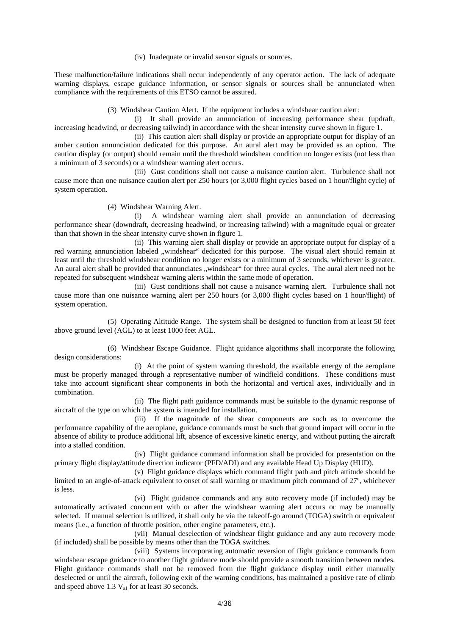(iv) Inadequate or invalid sensor signals or sources.

These malfunction/failure indications shall occur independently of any operator action. The lack of adequate warning displays, escape guidance information, or sensor signals or sources shall be annunciated when compliance with the requirements of this ETSO cannot be assured.

(3) Windshear Caution Alert. If the equipment includes a windshear caution alert:

 (i) It shall provide an annunciation of increasing performance shear (updraft, increasing headwind, or decreasing tailwind) in accordance with the shear intensity curve shown in figure 1.

 (ii) This caution alert shall display or provide an appropriate output for display of an amber caution annunciation dedicated for this purpose. An aural alert may be provided as an option. The caution display (or output) should remain until the threshold windshear condition no longer exists (not less than a minimum of 3 seconds) or a windshear warning alert occurs.

 (iii) Gust conditions shall not cause a nuisance caution alert. Turbulence shall not cause more than one nuisance caution alert per 250 hours (or 3,000 flight cycles based on 1 hour/flight cycle) of system operation.

(4) Windshear Warning Alert.

 (i) A windshear warning alert shall provide an annunciation of decreasing performance shear (downdraft, decreasing headwind, or increasing tailwind) with a magnitude equal or greater than that shown in the shear intensity curve shown in figure 1.

 (ii) This warning alert shall display or provide an appropriate output for display of a red warning annunciation labeled "windshear" dedicated for this purpose. The visual alert should remain at least until the threshold windshear condition no longer exists or a minimum of 3 seconds, whichever is greater. An aural alert shall be provided that annunciates "windshear" for three aural cycles. The aural alert need not be repeated for subsequent windshear warning alerts within the same mode of operation.

 (iii) Gust conditions shall not cause a nuisance warning alert. Turbulence shall not cause more than one nuisance warning alert per 250 hours (or 3,000 flight cycles based on 1 hour/flight) of system operation.

 (5) Operating Altitude Range. The system shall be designed to function from at least 50 feet above ground level (AGL) to at least 1000 feet AGL.

 (6) Windshear Escape Guidance. Flight guidance algorithms shall incorporate the following design considerations:

 (i) At the point of system warning threshold, the available energy of the aeroplane must be properly managed through a representative number of windfield conditions. These conditions must take into account significant shear components in both the horizontal and vertical axes, individually and in combination.

 (ii) The flight path guidance commands must be suitable to the dynamic response of aircraft of the type on which the system is intended for installation.

 (iii) If the magnitude of the shear components are such as to overcome the performance capability of the aeroplane, guidance commands must be such that ground impact will occur in the absence of ability to produce additional lift, absence of excessive kinetic energy, and without putting the aircraft into a stalled condition.

 (iv) Flight guidance command information shall be provided for presentation on the primary flight display/attitude direction indicator (PFD/ADI) and any available Head Up Display (HUD).

 (v) Flight guidance displays which command flight path and pitch attitude should be limited to an angle-of-attack equivalent to onset of stall warning or maximum pitch command of 27º, whichever is less.

 (vi) Flight guidance commands and any auto recovery mode (if included) may be automatically activated concurrent with or after the windshear warning alert occurs or may be manually selected. If manual selection is utilized, it shall only be via the takeoff-go around (TOGA) switch or equivalent means (i.e., a function of throttle position, other engine parameters, etc.).

 (vii) Manual deselection of windshear flight guidance and any auto recovery mode (if included) shall be possible by means other than the TOGA switches.

 (viii) Systems incorporating automatic reversion of flight guidance commands from windshear escape guidance to another flight guidance mode should provide a smooth transition between modes. Flight guidance commands shall not be removed from the flight guidance display until either manually deselected or until the aircraft, following exit of the warning conditions, has maintained a positive rate of climb and speed above  $1.3 V_{s1}$  for at least 30 seconds.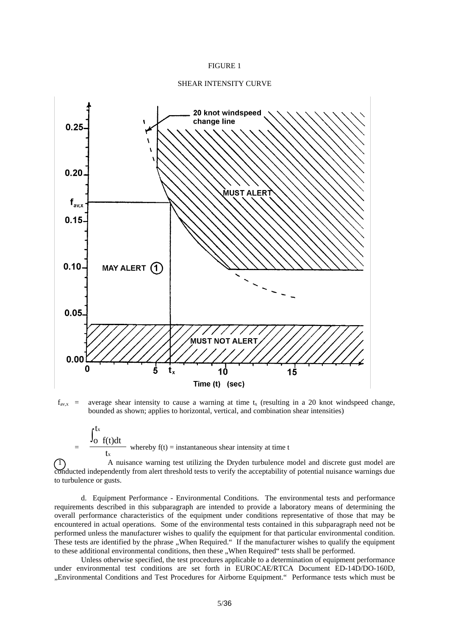#### FIGURE 1

#### SHEAR INTENSITY CURVE



 $f_{avx}$  = average shear intensity to cause a warning at time t<sub>x</sub> (resulting in a 20 knot windspeed change, bounded as shown; applies to horizontal, vertical, and combination shear intensities)

 $=\frac{J_{\text{o}} f(t)dt}{t}$ t t x x ∫ whereby  $f(t) =$  instantaneous shear intensity at time t

 1 A nuisance warning test utilizing the Dryden turbulence model and discrete gust model are conducted independently from alert threshold tests to verify the acceptability of potential nuisance warnings due to turbulence or gusts.

 d. Equipment Performance - Environmental Conditions. The environmental tests and performance requirements described in this subparagraph are intended to provide a laboratory means of determining the overall performance characteristics of the equipment under conditions representative of those that may be encountered in actual operations. Some of the environmental tests contained in this subparagraph need not be performed unless the manufacturer wishes to qualify the equipment for that particular environmental condition. These tests are identified by the phrase "When Required." If the manufacturer wishes to qualify the equipment to these additional environmental conditions, then these "When Required" tests shall be performed.

 Unless otherwise specified, the test procedures applicable to a determination of equipment performance under environmental test conditions are set forth in EUROCAE/RTCA Document ED-14D/DO-160D, "Environmental Conditions and Test Procedures for Airborne Equipment." Performance tests which must be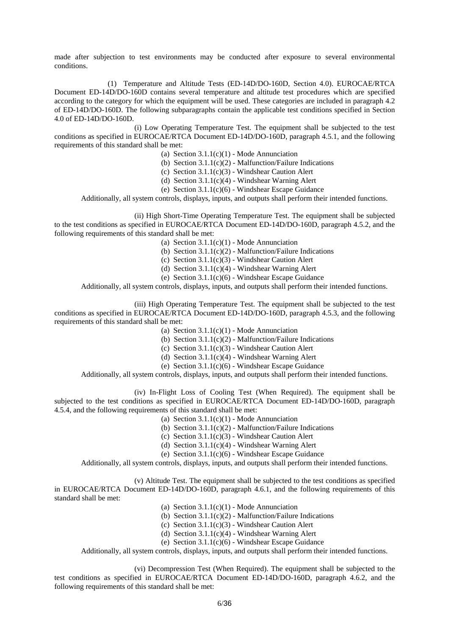made after subjection to test environments may be conducted after exposure to several environmental conditions.

 (1) Temperature and Altitude Tests (ED-14D/DO-160D, Section 4.0). EUROCAE/RTCA Document ED-14D/DO-160D contains several temperature and altitude test procedures which are specified according to the category for which the equipment will be used. These categories are included in paragraph 4.2 of ED-14D/DO-160D. The following subparagraphs contain the applicable test conditions specified in Section 4.0 of ED-14D/DO-160D.

 (i) Low Operating Temperature Test. The equipment shall be subjected to the test conditions as specified in EUROCAE/RTCA Document ED-14D/DO-160D, paragraph 4.5.1, and the following requirements of this standard shall be met:

- (a) Section  $3.1.1(c)(1)$  Mode Annunciation
- (b) Section  $3.1.1(c)(2)$  Malfunction/Failure Indications
- (c) Section 3.1.1(c)(3) Windshear Caution Alert
- (d) Section 3.1.1(c)(4) Windshear Warning Alert
- (e) Section  $3.1.1(c)(6)$  Windshear Escape Guidance

Additionally, all system controls, displays, inputs, and outputs shall perform their intended functions.

 (ii) High Short-Time Operating Temperature Test. The equipment shall be subjected to the test conditions as specified in EUROCAE/RTCA Document ED-14D/DO-160D, paragraph 4.5.2, and the following requirements of this standard shall be met:

- (a) Section  $3.1.1(c)(1)$  Mode Annunciation
- (b) Section  $3.1.1(c)(2)$  Malfunction/Failure Indications
- (c) Section 3.1.1(c)(3) Windshear Caution Alert
- (d) Section  $3.1.1(c)(4)$  Windshear Warning Alert
- (e) Section 3.1.1(c)(6) Windshear Escape Guidance

Additionally, all system controls, displays, inputs, and outputs shall perform their intended functions.

 (iii) High Operating Temperature Test. The equipment shall be subjected to the test conditions as specified in EUROCAE/RTCA Document ED-14D/DO-160D, paragraph 4.5.3, and the following requirements of this standard shall be met:

- (a) Section  $3.1.1(c)(1)$  Mode Annunciation
- (b) Section  $3.1.1(c)(2)$  Malfunction/Failure Indications
- (c) Section 3.1.1(c)(3) Windshear Caution Alert
- (d) Section 3.1.1(c)(4) Windshear Warning Alert
- (e) Section 3.1.1(c)(6) Windshear Escape Guidance

Additionally, all system controls, displays, inputs, and outputs shall perform their intended functions.

 (iv) In-Flight Loss of Cooling Test (When Required). The equipment shall be subjected to the test conditions as specified in EUROCAE/RTCA Document ED-14D/DO-160D, paragraph 4.5.4, and the following requirements of this standard shall be met:

- (a) Section  $3.1.1(c)(1)$  Mode Annunciation
- (b) Section  $3.1.1(c)(2)$  Malfunction/Failure Indications
- (c) Section 3.1.1(c)(3) Windshear Caution Alert
- (d) Section  $3.1.1(c)(4)$  Windshear Warning Alert
- (e) Section 3.1.1(c)(6) Windshear Escape Guidance

Additionally, all system controls, displays, inputs, and outputs shall perform their intended functions.

 (v) Altitude Test. The equipment shall be subjected to the test conditions as specified in EUROCAE/RTCA Document ED-14D/DO-160D, paragraph 4.6.1, and the following requirements of this standard shall be met:

- (a) Section  $3.1.1(c)(1)$  Mode Annunciation
- (b) Section  $3.1.1(c)(2)$  Malfunction/Failure Indications
- (c) Section 3.1.1(c)(3) Windshear Caution Alert
- (d) Section 3.1.1(c)(4) Windshear Warning Alert
- (e) Section 3.1.1(c)(6) Windshear Escape Guidance

Additionally, all system controls, displays, inputs, and outputs shall perform their intended functions.

 (vi) Decompression Test (When Required). The equipment shall be subjected to the test conditions as specified in EUROCAE/RTCA Document ED-14D/DO-160D, paragraph 4.6.2, and the following requirements of this standard shall be met: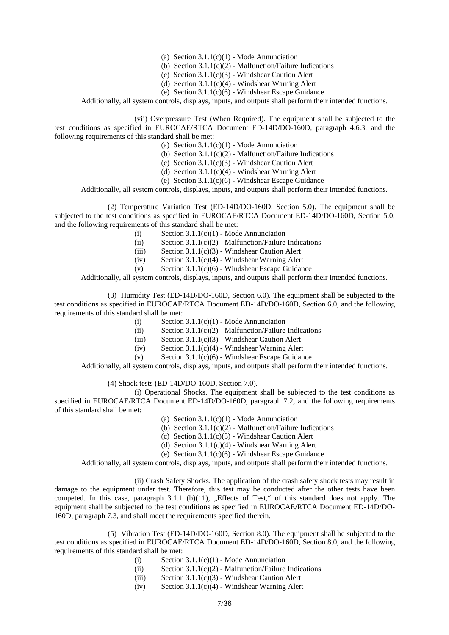- (a) Section  $3.1.1(c)(1)$  Mode Annunciation
- (b) Section  $3.1.1(c)(2)$  Malfunction/Failure Indications
- (c) Section 3.1.1(c)(3) Windshear Caution Alert
- (d) Section 3.1.1(c)(4) Windshear Warning Alert
- (e) Section 3.1.1(c)(6) Windshear Escape Guidance

Additionally, all system controls, displays, inputs, and outputs shall perform their intended functions.

 (vii) Overpressure Test (When Required). The equipment shall be subjected to the test conditions as specified in EUROCAE/RTCA Document ED-14D/DO-160D, paragraph 4.6.3, and the following requirements of this standard shall be met:

- (a) Section  $3.1.1(c)(1)$  Mode Annunciation
- (b) Section  $3.1.1(c)(2)$  Malfunction/Failure Indications
- (c) Section 3.1.1(c)(3) Windshear Caution Alert
- (d) Section 3.1.1(c)(4) Windshear Warning Alert
- (e) Section 3.1.1(c)(6) Windshear Escape Guidance

Additionally, all system controls, displays, inputs, and outputs shall perform their intended functions.

 (2) Temperature Variation Test (ED-14D/DO-160D, Section 5.0). The equipment shall be subjected to the test conditions as specified in EUROCAE/RTCA Document ED-14D/DO-160D, Section 5.0, and the following requirements of this standard shall be met:

- (i) Section  $3.1.1(c)(1)$  Mode Annunciation
- (ii) Section  $3.1.1(c)(2)$  Malfunction/Failure Indications
- (iii) Section 3.1.1(c)(3) Windshear Caution Alert
- (iv) Section 3.1.1(c)(4) Windshear Warning Alert
- (v) Section  $3.1.1(c)(6)$  Windshear Escape Guidance

Additionally, all system controls, displays, inputs, and outputs shall perform their intended functions.

 (3) Humidity Test (ED-14D/DO-160D, Section 6.0). The equipment shall be subjected to the test conditions as specified in EUROCAE/RTCA Document ED-14D/DO-160D, Section 6.0, and the following requirements of this standard shall be met:

- (i) Section  $3.1.1(c)(1)$  Mode Annunciation
- (ii) Section  $3.1.1(c)(2)$  Malfunction/Failure Indications
- (iii) Section 3.1.1(c)(3) Windshear Caution Alert
- (iv) Section 3.1.1(c)(4) Windshear Warning Alert
- (v) Section  $3.1.1(c)(6)$  Windshear Escape Guidance

Additionally, all system controls, displays, inputs, and outputs shall perform their intended functions.

(4) Shock tests (ED-14D/DO-160D, Section 7.0).

 (i) Operational Shocks. The equipment shall be subjected to the test conditions as specified in EUROCAE/RTCA Document ED-14D/DO-160D, paragraph 7.2, and the following requirements of this standard shall be met:

- (a) Section  $3.1.1(c)(1)$  Mode Annunciation
- (b) Section  $3.1.1(c)(2)$  Malfunction/Failure Indications
- (c) Section 3.1.1(c)(3) Windshear Caution Alert
- (d) Section  $3.1.1(c)(4)$  Windshear Warning Alert
- (e) Section  $3.1.1(c)(6)$  Windshear Escape Guidance

Additionally, all system controls, displays, inputs, and outputs shall perform their intended functions.

 (ii) Crash Safety Shocks. The application of the crash safety shock tests may result in damage to the equipment under test. Therefore, this test may be conducted after the other tests have been competed. In this case, paragraph  $3.1.1$  (b)(11), "Effects of Test," of this standard does not apply. The equipment shall be subjected to the test conditions as specified in EUROCAE/RTCA Document ED-14D/DO-160D, paragraph 7.3, and shall meet the requirements specified therein.

 (5) Vibration Test (ED-14D/DO-160D, Section 8.0). The equipment shall be subjected to the test conditions as specified in EUROCAE/RTCA Document ED-14D/DO-160D, Section 8.0, and the following requirements of this standard shall be met:

- (i) Section  $3.1.1(c)(1)$  Mode Annunciation
- (ii) Section  $3.1.1(c)(2)$  Malfunction/Failure Indications
- (iii) Section 3.1.1(c)(3) Windshear Caution Alert
- (iv) Section 3.1.1(c)(4) Windshear Warning Alert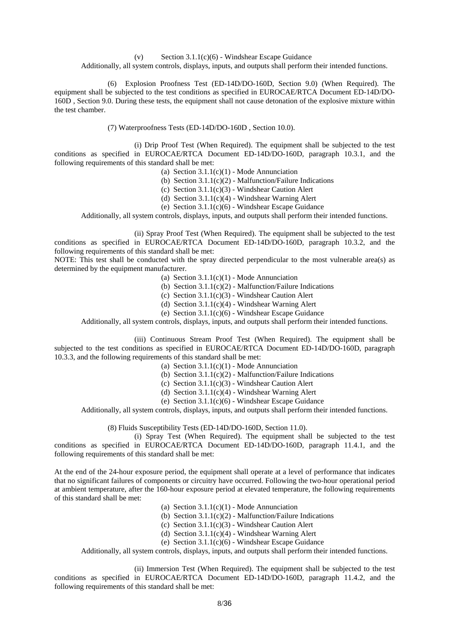(v) Section  $3.1.1(c)(6)$  - Windshear Escape Guidance

Additionally, all system controls, displays, inputs, and outputs shall perform their intended functions.

 (6) Explosion Proofness Test (ED-14D/DO-160D, Section 9.0) (When Required). The equipment shall be subjected to the test conditions as specified in EUROCAE/RTCA Document ED-14D/DO-160D , Section 9.0. During these tests, the equipment shall not cause detonation of the explosive mixture within the test chamber.

(7) Waterproofness Tests (ED-14D/DO-160D , Section 10.0).

 (i) Drip Proof Test (When Required). The equipment shall be subjected to the test conditions as specified in EUROCAE/RTCA Document ED-14D/DO-160D, paragraph 10.3.1, and the following requirements of this standard shall be met:

(a) Section  $3.1.1(c)(1)$  - Mode Annunciation

(b) Section  $3.1.1(c)(2)$  - Malfunction/Failure Indications

(c) Section 3.1.1(c)(3) - Windshear Caution Alert

(d) Section 3.1.1(c)(4) - Windshear Warning Alert

(e) Section 3.1.1(c)(6) - Windshear Escape Guidance

Additionally, all system controls, displays, inputs, and outputs shall perform their intended functions.

(ii) Spray Proof Test (When Required). The equipment shall be subjected to the test

conditions as specified in EUROCAE/RTCA Document ED-14D/DO-160D, paragraph 10.3.2, and the following requirements of this standard shall be met:

NOTE: This test shall be conducted with the spray directed perpendicular to the most vulnerable area(s) as determined by the equipment manufacturer.

(a) Section  $3.1.1(c)(1)$  - Mode Annunciation

(b) Section  $3.1.1(c)(2)$  - Malfunction/Failure Indications

(c) Section 3.1.1(c)(3) - Windshear Caution Alert

(d) Section 3.1.1(c)(4) - Windshear Warning Alert

(e) Section 3.1.1(c)(6) - Windshear Escape Guidance

Additionally, all system controls, displays, inputs, and outputs shall perform their intended functions.

 (iii) Continuous Stream Proof Test (When Required). The equipment shall be subjected to the test conditions as specified in EUROCAE/RTCA Document ED-14D/DO-160D, paragraph 10.3.3, and the following requirements of this standard shall be met:

(a) Section  $3.1.1(c)(1)$  - Mode Annunciation

(b) Section  $3.1.1(c)(2)$  - Malfunction/Failure Indications

(c) Section 3.1.1(c)(3) - Windshear Caution Alert

(d) Section 3.1.1(c)(4) - Windshear Warning Alert

(e) Section  $3.1.1(c)(6)$  - Windshear Escape Guidance

Additionally, all system controls, displays, inputs, and outputs shall perform their intended functions.

(8) Fluids Susceptibility Tests (ED-14D/DO-160D, Section 11.0).

 (i) Spray Test (When Required). The equipment shall be subjected to the test conditions as specified in EUROCAE/RTCA Document ED-14D/DO-160D, paragraph 11.4.1, and the following requirements of this standard shall be met:

At the end of the 24-hour exposure period, the equipment shall operate at a level of performance that indicates that no significant failures of components or circuitry have occurred. Following the two-hour operational period at ambient temperature, after the 160-hour exposure period at elevated temperature, the following requirements of this standard shall be met:

(a) Section  $3.1.1(c)(1)$  - Mode Annunciation

(b) Section  $3.1.1(c)(2)$  - Malfunction/Failure Indications

(c) Section 3.1.1(c)(3) - Windshear Caution Alert

(d) Section  $3.1.1(c)(4)$  - Windshear Warning Alert

(e) Section 3.1.1(c)(6) - Windshear Escape Guidance

Additionally, all system controls, displays, inputs, and outputs shall perform their intended functions.

 (ii) Immersion Test (When Required). The equipment shall be subjected to the test conditions as specified in EUROCAE/RTCA Document ED-14D/DO-160D, paragraph 11.4.2, and the following requirements of this standard shall be met: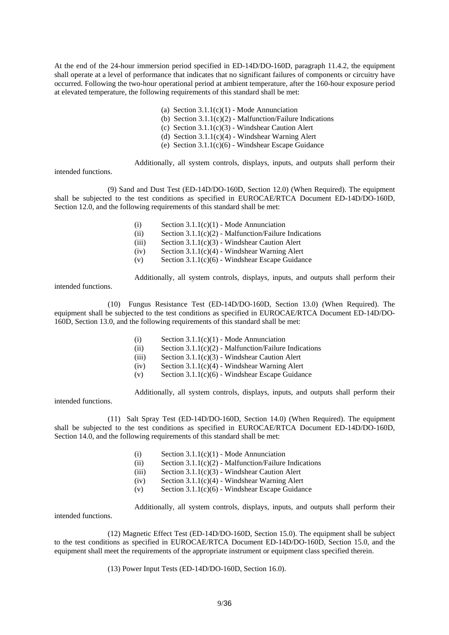At the end of the 24-hour immersion period specified in ED-14D/DO-160D, paragraph 11.4.2, the equipment shall operate at a level of performance that indicates that no significant failures of components or circuitry have occurred. Following the two-hour operational period at ambient temperature, after the 160-hour exposure period at elevated temperature, the following requirements of this standard shall be met:

- (a) Section  $3.1.1(c)(1)$  Mode Annunciation
- (b) Section  $3.1.1(c)(2)$  Malfunction/Failure Indications
- (c) Section 3.1.1(c)(3) Windshear Caution Alert
- (d) Section 3.1.1(c)(4) Windshear Warning Alert
- (e) Section  $3.1.1(c)(6)$  Windshear Escape Guidance

Additionally, all system controls, displays, inputs, and outputs shall perform their

intended functions.

 (9) Sand and Dust Test (ED-14D/DO-160D, Section 12.0) (When Required). The equipment shall be subjected to the test conditions as specified in EUROCAE/RTCA Document ED-14D/DO-160D, Section 12.0, and the following requirements of this standard shall be met:

- (i) Section  $3.1.1(c)(1)$  Mode Annunciation
- (ii) Section  $3.1.1(c)(2)$  Malfunction/Failure Indications
- (iii) Section 3.1.1(c)(3) Windshear Caution Alert
- (iv) Section 3.1.1(c)(4) Windshear Warning Alert
- (v) Section  $3.1.1(c)(6)$  Windshear Escape Guidance

Additionally, all system controls, displays, inputs, and outputs shall perform their

intended functions.

 (10) Fungus Resistance Test (ED-14D/DO-160D, Section 13.0) (When Required). The equipment shall be subjected to the test conditions as specified in EUROCAE/RTCA Document ED-14D/DO-160D, Section 13.0, and the following requirements of this standard shall be met:

- (i) Section  $3.1.1(c)(1)$  Mode Annunciation
- (ii) Section 3.1.1(c)(2) Malfunction/Failure Indications
- (iii) Section 3.1.1(c)(3) Windshear Caution Alert
- $(iv)$  Section 3.1.1(c)(4) Windshear Warning Alert
- (v) Section 3.1.1(c)(6) Windshear Escape Guidance

Additionally, all system controls, displays, inputs, and outputs shall perform their

intended functions.

intended functions.

 (11) Salt Spray Test (ED-14D/DO-160D, Section 14.0) (When Required). The equipment shall be subjected to the test conditions as specified in EUROCAE/RTCA Document ED-14D/DO-160D, Section 14.0, and the following requirements of this standard shall be met:

- (i) Section  $3.1.1(c)(1)$  Mode Annunciation
- (ii) Section  $3.1.1(c)(2)$  Malfunction/Failure Indications
- (iii) Section 3.1.1(c)(3) Windshear Caution Alert
- (iv) Section  $3.1.1(c)(4)$  Windshear Warning Alert
- (v) Section 3.1.1(c)(6) Windshear Escape Guidance

Additionally, all system controls, displays, inputs, and outputs shall perform their

 (12) Magnetic Effect Test (ED-14D/DO-160D, Section 15.0). The equipment shall be subject to the test conditions as specified in EUROCAE/RTCA Document ED-14D/DO-160D, Section 15.0, and the equipment shall meet the requirements of the appropriate instrument or equipment class specified therein.

(13) Power Input Tests (ED-14D/DO-160D, Section 16.0).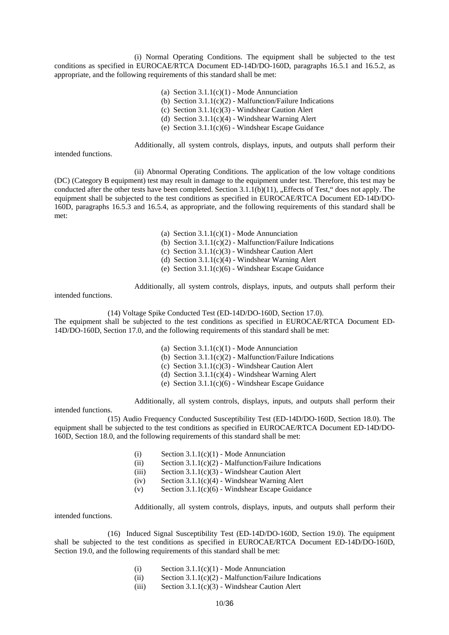(i) Normal Operating Conditions. The equipment shall be subjected to the test conditions as specified in EUROCAE/RTCA Document ED-14D/DO-160D, paragraphs 16.5.1 and 16.5.2, as appropriate, and the following requirements of this standard shall be met:

- (a) Section  $3.1.1(c)(1)$  Mode Annunciation
- (b) Section  $3.1.1(c)(2)$  Malfunction/Failure Indications
- (c) Section 3.1.1(c)(3) Windshear Caution Alert
- (d) Section 3.1.1(c)(4) Windshear Warning Alert
- (e) Section  $3.1.1(c)(6)$  Windshear Escape Guidance

Additionally, all system controls, displays, inputs, and outputs shall perform their

intended functions.

 (ii) Abnormal Operating Conditions. The application of the low voltage conditions (DC) (Category B equipment) test may result in damage to the equipment under test. Therefore, this test may be conducted after the other tests have been completed. Section  $3.1.1(b)(11)$ , "Effects of Test," does not apply. The equipment shall be subjected to the test conditions as specified in EUROCAE/RTCA Document ED-14D/DO-160D, paragraphs 16.5.3 and 16.5.4, as appropriate, and the following requirements of this standard shall be met:

- (a) Section  $3.1.1(c)(1)$  Mode Annunciation
- (b) Section 3.1.1(c)(2) Malfunction/Failure Indications

(c) Section 3.1.1(c)(3) - Windshear Caution Alert

- (d) Section 3.1.1(c)(4) Windshear Warning Alert
- (e) Section 3.1.1(c)(6) Windshear Escape Guidance

Additionally, all system controls, displays, inputs, and outputs shall perform their

intended functions.

intended functions.

(14) Voltage Spike Conducted Test (ED-14D/DO-160D, Section 17.0).

The equipment shall be subjected to the test conditions as specified in EUROCAE/RTCA Document ED-14D/DO-160D, Section 17.0, and the following requirements of this standard shall be met:

- (a) Section  $3.1.1(c)(1)$  Mode Annunciation
- (b) Section  $3.1.1(c)(2)$  Malfunction/Failure Indications
- (c) Section 3.1.1(c)(3) Windshear Caution Alert
- (d) Section 3.1.1(c)(4) Windshear Warning Alert
- (e) Section 3.1.1(c)(6) Windshear Escape Guidance

Additionally, all system controls, displays, inputs, and outputs shall perform their

 (15) Audio Frequency Conducted Susceptibility Test (ED-14D/DO-160D, Section 18.0). The equipment shall be subjected to the test conditions as specified in EUROCAE/RTCA Document ED-14D/DO-160D, Section 18.0, and the following requirements of this standard shall be met:

- (i) Section  $3.1.1(c)(1)$  Mode Annunciation
- (ii) Section  $3.1.1(c)(2)$  Malfunction/Failure Indications
- (iii) Section 3.1.1(c)(3) Windshear Caution Alert
- (iv) Section  $3.1.1(c)(4)$  Windshear Warning Alert
- (v) Section 3.1.1(c)(6) Windshear Escape Guidance

Additionally, all system controls, displays, inputs, and outputs shall perform their

intended functions.

 (16) Induced Signal Susceptibility Test (ED-14D/DO-160D, Section 19.0). The equipment shall be subjected to the test conditions as specified in EUROCAE/RTCA Document ED-14D/DO-160D, Section 19.0, and the following requirements of this standard shall be met:

- (i) Section  $3.1.1(c)(1)$  Mode Annunciation
- (ii) Section  $3.1.1(c)(2)$  Malfunction/Failure Indications
- (iii) Section 3.1.1(c)(3) Windshear Caution Alert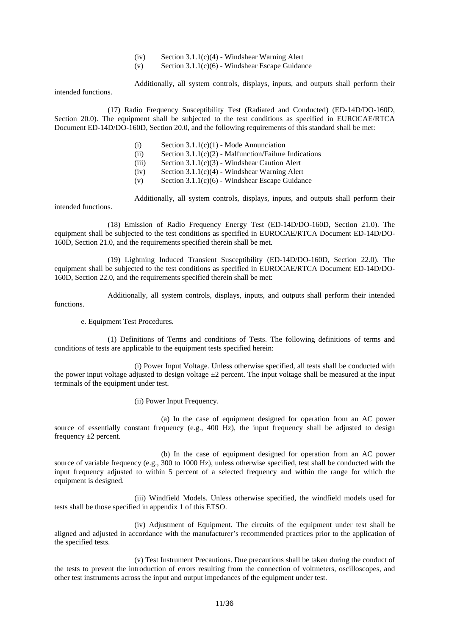- $(iv)$  Section 3.1.1(c)(4) Windshear Warning Alert
- (v) Section  $3.1.1(c)(6)$  Windshear Escape Guidance

Additionally, all system controls, displays, inputs, and outputs shall perform their

intended functions.

 (17) Radio Frequency Susceptibility Test (Radiated and Conducted) (ED-14D/DO-160D, Section 20.0). The equipment shall be subjected to the test conditions as specified in EUROCAE/RTCA Document ED-14D/DO-160D, Section 20.0, and the following requirements of this standard shall be met:

- (i) Section  $3.1.1(c)(1)$  Mode Annunciation
- (ii) Section  $3.1.1(c)(2)$  Malfunction/Failure Indications
- (iii) Section 3.1.1(c)(3) Windshear Caution Alert
- (iv) Section 3.1.1(c)(4) Windshear Warning Alert
- (v) Section  $3.1.1(c)(6)$  Windshear Escape Guidance

 Additionally, all system controls, displays, inputs, and outputs shall perform their intended functions.

 (18) Emission of Radio Frequency Energy Test (ED-14D/DO-160D, Section 21.0). The equipment shall be subjected to the test conditions as specified in EUROCAE/RTCA Document ED-14D/DO-160D, Section 21.0, and the requirements specified therein shall be met.

 (19) Lightning Induced Transient Susceptibility (ED-14D/DO-160D, Section 22.0). The equipment shall be subjected to the test conditions as specified in EUROCAE/RTCA Document ED-14D/DO-160D, Section 22.0, and the requirements specified therein shall be met:

 Additionally, all system controls, displays, inputs, and outputs shall perform their intended functions.

e. Equipment Test Procedures.

 (1) Definitions of Terms and conditions of Tests. The following definitions of terms and conditions of tests are applicable to the equipment tests specified herein:

 (i) Power Input Voltage. Unless otherwise specified, all tests shall be conducted with the power input voltage adjusted to design voltage  $\pm 2$  percent. The input voltage shall be measured at the input terminals of the equipment under test.

(ii) Power Input Frequency.

 (a) In the case of equipment designed for operation from an AC power source of essentially constant frequency (e.g., 400 Hz), the input frequency shall be adjusted to design frequency  $\pm 2$  percent.

 (b) In the case of equipment designed for operation from an AC power source of variable frequency (e.g., 300 to 1000 Hz), unless otherwise specified, test shall be conducted with the input frequency adjusted to within 5 percent of a selected frequency and within the range for which the equipment is designed.

 (iii) Windfield Models. Unless otherwise specified, the windfield models used for tests shall be those specified in appendix 1 of this ETSO.

 (iv) Adjustment of Equipment. The circuits of the equipment under test shall be aligned and adjusted in accordance with the manufacturer's recommended practices prior to the application of the specified tests.

 (v) Test Instrument Precautions. Due precautions shall be taken during the conduct of the tests to prevent the introduction of errors resulting from the connection of voltmeters, oscilloscopes, and other test instruments across the input and output impedances of the equipment under test.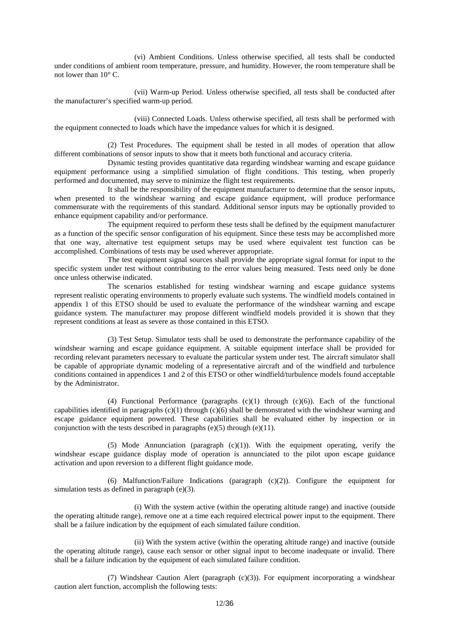(vi) Ambient Conditions. Unless otherwise specified, all tests shall be conducted under conditions of ambient room temperature, pressure, and humidity. However, the room temperature shall be not lower than 10° C.

 (vii) Warm-up Period. Unless otherwise specified, all tests shall be conducted after the manufacturer's specified warm-up period.

 (viii) Connected Loads. Unless otherwise specified, all tests shall be performed with the equipment connected to loads which have the impedance values for which it is designed.

 (2) Test Procedures. The equipment shall be tested in all modes of operation that allow different combinations of sensor inputs to show that it meets both functional and accuracy criteria.

 Dynamic testing provides quantitative data regarding windshear warning and escape guidance equipment performance using a simplified simulation of flight conditions. This testing, when properly performed and documented, may serve to minimize the flight test requirements.

 It shall be the responsibility of the equipment manufacturer to determine that the sensor inputs, when presented to the windshear warning and escape guidance equipment, will produce performance commensurate with the requirements of this standard. Additional sensor inputs may be optionally provided to enhance equipment capability and/or performance.

 The equipment required to perform these tests shall be defined by the equipment manufacturer as a function of the specific sensor configuration of his equipment. Since these tests may be accomplished more that one way, alternative test equipment setups may be used where equivalent test function can be accomplished. Combinations of tests may be used wherever appropriate.

 The test equipment signal sources shall provide the appropriate signal format for input to the specific system under test without contributing to the error values being measured. Tests need only be done once unless otherwise indicated.

 The scenarios established for testing windshear warning and escape guidance systems represent realistic operating environments to properly evaluate such systems. The windfield models contained in appendix 1 of this ETSO should be used to evaluate the performance of the windshear warning and escape guidance system. The manufacturer may propose different windfield models provided it is shown that they represent conditions at least as severe as those contained in this ETSO.

 (3) Test Setup. Simulator tests shall be used to demonstrate the performance capability of the windshear warning and escape guidance equipment. A suitable equipment interface shall be provided for recording relevant parameters necessary to evaluate the particular system under test. The aircraft simulator shall be capable of appropriate dynamic modeling of a representative aircraft and of the windfield and turbulence conditions contained in appendices 1 and 2 of this ETSO or other windfield/turbulence models found acceptable by the Administrator.

(4) Functional Performance (paragraphs  $(c)(1)$  through  $(c)(6)$ ). Each of the functional capabilities identified in paragraphs  $(c)(1)$  through  $(c)(6)$  shall be demonstrated with the windshear warning and escape guidance equipment powered. These capabilities shall be evaluated either by inspection or in conjunction with the tests described in paragraphs (e)(5) through (e)(11).

(5) Mode Annunciation (paragraph  $(c)(1)$ ). With the equipment operating, verify the windshear escape guidance display mode of operation is annunciated to the pilot upon escape guidance activation and upon reversion to a different flight guidance mode.

(6) Malfunction/Failure Indications (paragraph  $(c)(2)$ ). Configure the equipment for simulation tests as defined in paragraph (e)(3).

 (i) With the system active (within the operating altitude range) and inactive (outside the operating altitude range), remove one at a time each required electrical power input to the equipment. There shall be a failure indication by the equipment of each simulated failure condition.

 (ii) With the system active (within the operating altitude range) and inactive (outside the operating altitude range), cause each sensor or other signal input to become inadequate or invalid. There shall be a failure indication by the equipment of each simulated failure condition.

 (7) Windshear Caution Alert (paragraph (c)(3)). For equipment incorporating a windshear caution alert function, accomplish the following tests: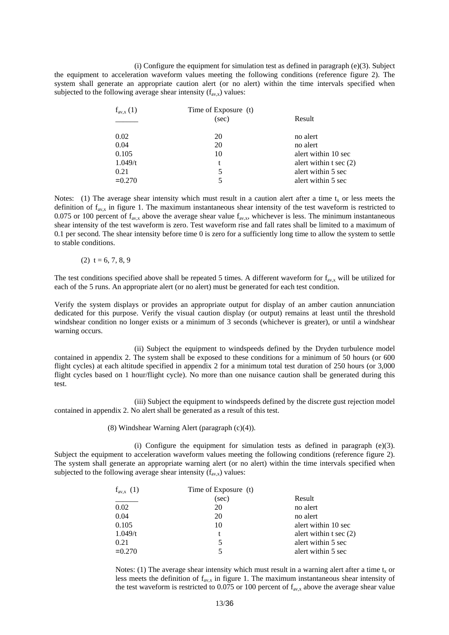(i) Configure the equipment for simulation test as defined in paragraph  $(e)(3)$ . Subject the equipment to acceleration waveform values meeting the following conditions (reference figure 2). The system shall generate an appropriate caution alert (or no alert) within the time intervals specified when subjected to the following average shear intensity  $(f_{av,x})$  values:

| $f_{\text{av},x}(1)$ | Time of Exposure (t) |                          |  |
|----------------------|----------------------|--------------------------|--|
|                      | (sec)                | Result                   |  |
| 0.02                 | 20                   | no alert                 |  |
| 0.04                 | 20                   | no alert                 |  |
| 0.105                | 10                   | alert within 10 sec      |  |
| 1.049/t              | t                    | alert within $t \sec(2)$ |  |
| 0.21                 | 5                    | alert within 5 sec       |  |
| $= 0.270$            |                      | alert within 5 sec       |  |

Notes: (1) The average shear intensity which must result in a caution alert after a time  $t<sub>x</sub>$  or less meets the definition of  $f_{av,x}$  in figure 1. The maximum instantaneous shear intensity of the test waveform is restricted to 0.075 or 100 percent of  $f_{av,x}$  above the average shear value  $f_{av,x}$ , whichever is less. The minimum instantaneous shear intensity of the test waveform is zero. Test waveform rise and fall rates shall be limited to a maximum of 0.1 per second. The shear intensity before time 0 is zero for a sufficiently long time to allow the system to settle to stable conditions.

(2)  $t = 6, 7, 8, 9$ 

The test conditions specified above shall be repeated 5 times. A different waveform for  $f_{av,x}$  will be utilized for each of the 5 runs. An appropriate alert (or no alert) must be generated for each test condition.

Verify the system displays or provides an appropriate output for display of an amber caution annunciation dedicated for this purpose. Verify the visual caution display (or output) remains at least until the threshold windshear condition no longer exists or a minimum of 3 seconds (whichever is greater), or until a windshear warning occurs.

 (ii) Subject the equipment to windspeeds defined by the Dryden turbulence model contained in appendix 2. The system shall be exposed to these conditions for a minimum of 50 hours (or 600 flight cycles) at each altitude specified in appendix 2 for a minimum total test duration of 250 hours (or 3,000 flight cycles based on 1 hour/flight cycle). No more than one nuisance caution shall be generated during this test.

 (iii) Subject the equipment to windspeeds defined by the discrete gust rejection model contained in appendix 2. No alert shall be generated as a result of this test.

(8) Windshear Warning Alert (paragraph (c)(4)).

(i) Configure the equipment for simulation tests as defined in paragraph  $(e)(3)$ . Subject the equipment to acceleration waveform values meeting the following conditions (reference figure 2). The system shall generate an appropriate warning alert (or no alert) within the time intervals specified when subjected to the following average shear intensity  $(f_{av,x})$  values:

| $f_{\text{av},x}$ (1) | Time of Exposure (t) |                          |  |
|-----------------------|----------------------|--------------------------|--|
|                       | (sec)                | Result                   |  |
| 0.02                  | 20                   | no alert                 |  |
| 0.04                  | 20                   | no alert                 |  |
| 0.105                 | 10                   | alert within 10 sec      |  |
| 1.049/t               | t                    | alert within $t \sec(2)$ |  |
| 0.21                  | 5                    | alert within 5 sec       |  |
| $= 0.270$             |                      | alert within 5 sec       |  |

Notes: (1) The average shear intensity which must result in a warning alert after a time  $t_x$  or less meets the definition of  $f_{\text{av},x}$  in figure 1. The maximum instantaneous shear intensity of the test waveform is restricted to 0.075 or 100 percent of  $f_{\text{av},x}$  above the average shear value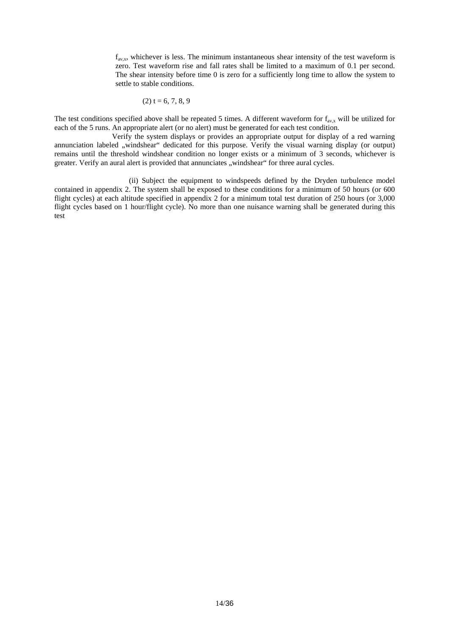$f_{av,x}$ , whichever is less. The minimum instantaneous shear intensity of the test waveform is zero. Test waveform rise and fall rates shall be limited to a maximum of 0.1 per second. The shear intensity before time 0 is zero for a sufficiently long time to allow the system to settle to stable conditions.

$$
(2) t = 6, 7, 8, 9
$$

The test conditions specified above shall be repeated 5 times. A different waveform for  $f_{\text{av},x}$  will be utilized for each of the 5 runs. An appropriate alert (or no alert) must be generated for each test condition.

 Verify the system displays or provides an appropriate output for display of a red warning annunciation labeled "windshear" dedicated for this purpose. Verify the visual warning display (or output) remains until the threshold windshear condition no longer exists or a minimum of 3 seconds, whichever is greater. Verify an aural alert is provided that annunciates "windshear" for three aural cycles.

 (ii) Subject the equipment to windspeeds defined by the Dryden turbulence model contained in appendix 2. The system shall be exposed to these conditions for a minimum of 50 hours (or 600 flight cycles) at each altitude specified in appendix 2 for a minimum total test duration of 250 hours (or 3,000 flight cycles based on 1 hour/flight cycle). No more than one nuisance warning shall be generated during this test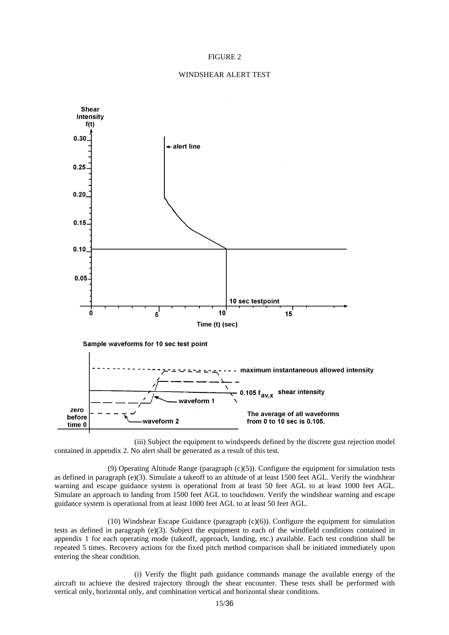#### FIGURE 2

#### WINDSHEAR ALERT TEST



 (iii) Subject the equipment to windspeeds defined by the discrete gust rejection model contained in appendix 2. No alert shall be generated as a result of this test.

 (9) Operating Altitude Range (paragraph (c)(5)). Configure the equipment for simulation tests as defined in paragraph (e)(3). Simulate a takeoff to an altitude of at least 1500 feet AGL. Verify the windshear warning and escape guidance system is operational from at least 50 feet AGL to at least 1000 feet AGL. Simulate an approach to landing from 1500 feet AGL to touchdown. Verify the windshear warning and escape guidance system is operational from at least 1000 feet AGL to at least 50 feet AGL.

(10) Windshear Escape Guidance (paragraph  $(c)(6)$ ). Configure the equipment for simulation tests as defined in paragraph (e)(3). Subject the equipment to each of the windfield conditions contained in appendix 1 for each operating mode (takeoff, approach, landing, etc.) available. Each test condition shall be repeated 5 times. Recovery actions for the fixed pitch method comparison shall be initiated immediately upon entering the shear condition.

 (i) Verify the flight path guidance commands manage the available energy of the aircraft to achieve the desired trajectory through the shear encounter. These tests shall be performed with vertical only, horizontal only, and combination vertical and horizontal shear conditions.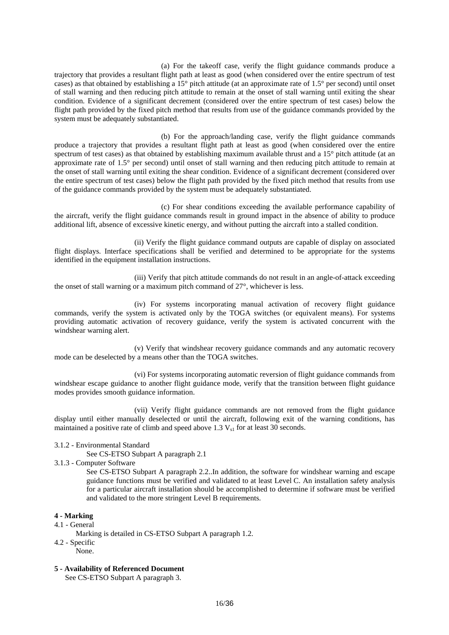(a) For the takeoff case, verify the flight guidance commands produce a trajectory that provides a resultant flight path at least as good (when considered over the entire spectrum of test cases) as that obtained by establishing a 15° pitch attitude (at an approximate rate of 1.5° per second) until onset of stall warning and then reducing pitch attitude to remain at the onset of stall warning until exiting the shear condition. Evidence of a significant decrement (considered over the entire spectrum of test cases) below the flight path provided by the fixed pitch method that results from use of the guidance commands provided by the system must be adequately substantiated.

 (b) For the approach/landing case, verify the flight guidance commands produce a trajectory that provides a resultant flight path at least as good (when considered over the entire spectrum of test cases) as that obtained by establishing maximum available thrust and a 15° pitch attitude (at an approximate rate of 1.5° per second) until onset of stall warning and then reducing pitch attitude to remain at the onset of stall warning until exiting the shear condition. Evidence of a significant decrement (considered over the entire spectrum of test cases) below the flight path provided by the fixed pitch method that results from use of the guidance commands provided by the system must be adequately substantiated.

 (c) For shear conditions exceeding the available performance capability of the aircraft, verify the flight guidance commands result in ground impact in the absence of ability to produce additional lift, absence of excessive kinetic energy, and without putting the aircraft into a stalled condition.

 (ii) Verify the flight guidance command outputs are capable of display on associated flight displays. Interface specifications shall be verified and determined to be appropriate for the systems identified in the equipment installation instructions.

 (iii) Verify that pitch attitude commands do not result in an angle-of-attack exceeding the onset of stall warning or a maximum pitch command of 27°, whichever is less.

 (iv) For systems incorporating manual activation of recovery flight guidance commands, verify the system is activated only by the TOGA switches (or equivalent means). For systems providing automatic activation of recovery guidance, verify the system is activated concurrent with the windshear warning alert.

 (v) Verify that windshear recovery guidance commands and any automatic recovery mode can be deselected by a means other than the TOGA switches.

 (vi) For systems incorporating automatic reversion of flight guidance commands from windshear escape guidance to another flight guidance mode, verify that the transition between flight guidance modes provides smooth guidance information.

 (vii) Verify flight guidance commands are not removed from the flight guidance display until either manually deselected or until the aircraft, following exit of the warning conditions, has maintained a positive rate of climb and speed above  $1.3 V_{s1}$  for at least 30 seconds.

#### 3.1.2 - Environmental Standard

See CS-ETSO Subpart A paragraph 2.1

3.1.3 - Computer Software

See CS-ETSO Subpart A paragraph 2.2..In addition, the software for windshear warning and escape guidance functions must be verified and validated to at least Level C. An installation safety analysis for a particular aircraft installation should be accomplished to determine if software must be verified and validated to the more stringent Level B requirements.

## **4 - Marking**

#### 4.1 - General

Marking is detailed in CS-ETSO Subpart A paragraph 1.2.

- 4.2 Specific
- None.
- **5 Availability of Referenced Document**

See CS-ETSO Subpart A paragraph 3.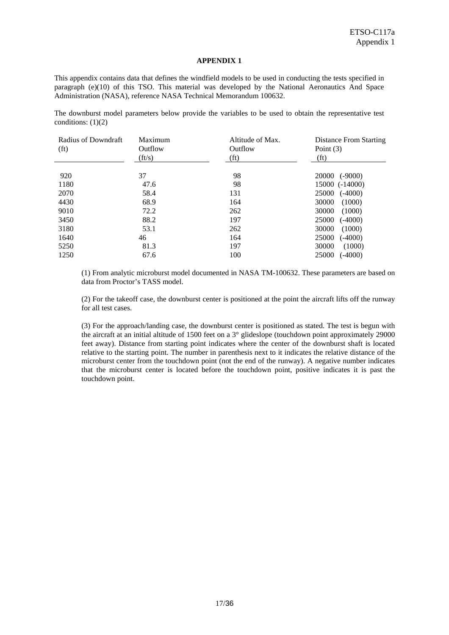# **APPENDIX 1**

This appendix contains data that defines the windfield models to be used in conducting the tests specified in paragraph (e)(10) of this TSO. This material was developed by the National Aeronautics And Space Administration (NASA), reference NASA Technical Memorandum 100632.

The downburst model parameters below provide the variables to be used to obtain the representative test conditions:  $(1)(2)$ 

| Radius of Downdraft<br>(f <sup>t</sup> ) | Maximum<br>Outflow<br>(ft/s) | Altitude of Max.<br>Outflow<br>(f <sub>t</sub> ) | Distance From Starting<br>Point $(3)$<br>(f <sub>t</sub> ) |
|------------------------------------------|------------------------------|--------------------------------------------------|------------------------------------------------------------|
|                                          |                              |                                                  |                                                            |
| 920                                      | 37                           | 98                                               | 20000<br>$(-9000)$                                         |
| 1180                                     | 47.6                         | 98                                               | 15000 (-14000)                                             |
| 2070                                     | 58.4                         | 131                                              | 25000<br>$(-4000)$                                         |
| 4430                                     | 68.9                         | 164                                              | 30000<br>(1000)                                            |
| 9010                                     | 72.2                         | 262                                              | 30000<br>(1000)                                            |
| 3450                                     | 88.2                         | 197                                              | 25000<br>$(-4000)$                                         |
| 3180                                     | 53.1                         | 262                                              | 30000<br>(1000)                                            |
| 1640                                     | 46                           | 164                                              | 25000<br>$(-4000)$                                         |
| 5250                                     | 81.3                         | 197                                              | 30000<br>(1000)                                            |
| 1250                                     | 67.6                         | 100                                              | 25000<br>$(-4000)$                                         |

(1) From analytic microburst model documented in NASA TM-100632. These parameters are based on data from Proctor's TASS model.

(2) For the takeoff case, the downburst center is positioned at the point the aircraft lifts off the runway for all test cases.

(3) For the approach/landing case, the downburst center is positioned as stated. The test is begun with the aircraft at an initial altitude of 1500 feet on a 3° glideslope (touchdown point approximately 29000 feet away). Distance from starting point indicates where the center of the downburst shaft is located relative to the starting point. The number in parenthesis next to it indicates the relative distance of the microburst center from the touchdown point (not the end of the runway). A negative number indicates that the microburst center is located before the touchdown point, positive indicates it is past the touchdown point.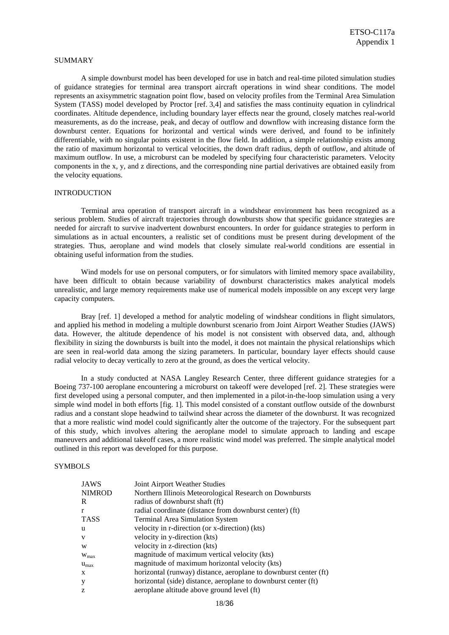#### SUMMARY

 A simple downburst model has been developed for use in batch and real-time piloted simulation studies of guidance strategies for terminal area transport aircraft operations in wind shear conditions. The model represents an axisymmetric stagnation point flow, based on velocity profiles from the Terminal Area Simulation System (TASS) model developed by Proctor [ref. 3,4] and satisfies the mass continuity equation in cylindrical coordinates. Altitude dependence, including boundary layer effects near the ground, closely matches real-world measurements, as do the increase, peak, and decay of outflow and downflow with increasing distance form the downburst center. Equations for horizontal and vertical winds were derived, and found to be infinitely differentiable, with no singular points existent in the flow field. In addition, a simple relationship exists among the ratio of maximum horizontal to vertical velocities, the down draft radius, depth of outflow, and altitude of maximum outflow. In use, a microburst can be modeled by specifying four characteristic parameters. Velocity components in the x, y, and z directions, and the corresponding nine partial derivatives are obtained easily from the velocity equations.

#### INTRODUCTION

 Terminal area operation of transport aircraft in a windshear environment has been recognized as a serious problem. Studies of aircraft trajectories through downbursts show that specific guidance strategies are needed for aircraft to survive inadvertent downburst encounters. In order for guidance strategies to perform in simulations as in actual encounters, a realistic set of conditions must be present during development of the strategies. Thus, aeroplane and wind models that closely simulate real-world conditions are essential in obtaining useful information from the studies.

 Wind models for use on personal computers, or for simulators with limited memory space availability, have been difficult to obtain because variability of downburst characteristics makes analytical models unrealistic, and large memory requirements make use of numerical models impossible on any except very large capacity computers.

 Bray [ref. 1] developed a method for analytic modeling of windshear conditions in flight simulators, and applied his method in modeling a multiple downburst scenario from Joint Airport Weather Studies (JAWS) data. However, the altitude dependence of his model is not consistent with observed data, and, although flexibility in sizing the downbursts is built into the model, it does not maintain the physical relationships which are seen in real-world data among the sizing parameters. In particular, boundary layer effects should cause radial velocity to decay vertically to zero at the ground, as does the vertical velocity.

 In a study conducted at NASA Langley Research Center, three different guidance strategies for a Boeing 737-100 aeroplane encountering a microburst on takeoff were developed [ref. 2]. These strategies were first developed using a personal computer, and then implemented in a pilot-in-the-loop simulation using a very simple wind model in both efforts [fig. 1]. This model consisted of a constant outflow outside of the downburst radius and a constant slope headwind to tailwind shear across the diameter of the downburst. It was recognized that a more realistic wind model could significantly alter the outcome of the trajectory. For the subsequent part of this study, which involves altering the aeroplane model to simulate approach to landing and escape maneuvers and additional takeoff cases, a more realistic wind model was preferred. The simple analytical model outlined in this report was developed for this purpose.

# **SYMBOLS**

| <b>JAWS</b>      | Joint Airport Weather Studies                                    |
|------------------|------------------------------------------------------------------|
| <b>NIMROD</b>    | Northern Illinois Meteorological Research on Downbursts          |
| R                | radius of downburst shaft (ft)                                   |
| r                | radial coordinate (distance from downburst center) (ft)          |
| <b>TASS</b>      | <b>Terminal Area Simulation System</b>                           |
| u                | velocity in r-direction (or x-direction) (kts)                   |
| V                | velocity in y-direction (kts)                                    |
| W                | velocity in z-direction (kts)                                    |
| $W_{\text{max}}$ | magnitude of maximum vertical velocity (kts)                     |
| $u_{\text{max}}$ | magnitude of maximum horizontal velocity (kts)                   |
| X                | horizontal (runway) distance, aeroplane to downburst center (ft) |
| У                | horizontal (side) distance, aeroplane to downburst center (ft)   |
| Z                | aeroplane altitude above ground level (ft)                       |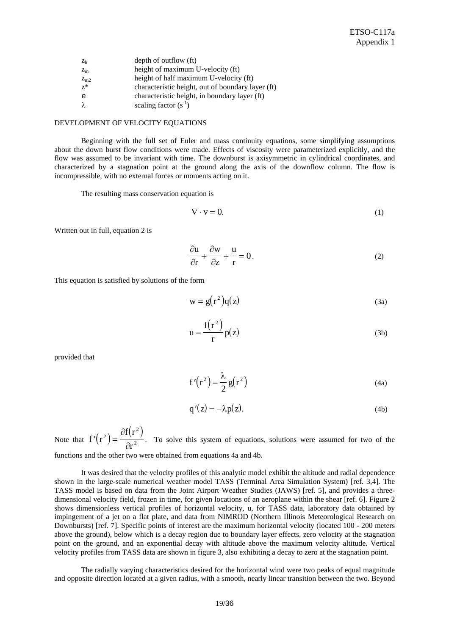| Z <sub>h</sub> | depth of outflow (ft)                             |
|----------------|---------------------------------------------------|
| $Z_{m}$        | height of maximum U-velocity (ft)                 |
| $Z_{m2}$       | height of half maximum U-velocity (ft)            |
| $z^*$          | characteristic height, out of boundary layer (ft) |
| e              | characteristic height, in boundary layer (ft)     |
| λ              | scaling factor $(s^{-1})$                         |

# DEVELOPMENT OF VELOCITY EQUATIONS

 Beginning with the full set of Euler and mass continuity equations, some simplifying assumptions about the down burst flow conditions were made. Effects of viscosity were parameterized explicitly, and the flow was assumed to be invariant with time. The downburst is axisymmetric in cylindrical coordinates, and characterized by a stagnation point at the ground along the axis of the downflow column. The flow is incompressible, with no external forces or moments acting on it.

The resulting mass conservation equation is

$$
\nabla \cdot \mathbf{v} = 0. \tag{1}
$$

Written out in full, equation 2 is

$$
\frac{\partial u}{\partial r} + \frac{\partial w}{\partial z} + \frac{u}{r} = 0.
$$
 (2)

This equation is satisfied by solutions of the form

$$
w = g(r^2)q(z)
$$
 (3a)

$$
u = \frac{f(r^2)}{r} p(z)
$$
 (3b)

provided that

$$
f'(r^2) = \frac{\lambda}{2} g(r^2)
$$
 (4a)

$$
q'(z) = -\lambda p(z). \tag{4b}
$$

Note that  $f'(r^2) = \frac{\partial f(r^2)}{\partial^2}$ r 2 2 2 ∂  $\frac{\sqrt{}}{2\pi^2}$ . To solve this system of equations, solutions were assumed for two of the functions and the other two were obtained from equations 4a and 4b.

 It was desired that the velocity profiles of this analytic model exhibit the altitude and radial dependence shown in the large-scale numerical weather model TASS (Terminal Area Simulation System) [ref. 3,4]. The TASS model is based on data from the Joint Airport Weather Studies (JAWS) [ref. 5], and provides a threedimensional velocity field, frozen in time, for given locations of an aeroplane within the shear [ref. 6]. Figure 2 shows dimensionless vertical profiles of horizontal velocity, u, for TASS data, laboratory data obtained by impingement of a jet on a flat plate, and data from NIMROD (Northern Illinois Meteorological Research on Downbursts) [ref. 7]. Specific points of interest are the maximum horizontal velocity (located 100 - 200 meters above the ground), below which is a decay region due to boundary layer effects, zero velocity at the stagnation point on the ground, and an exponential decay with altitude above the maximum velocity altitude. Vertical velocity profiles from TASS data are shown in figure 3, also exhibiting a decay to zero at the stagnation point.

 The radially varying characteristics desired for the horizontal wind were two peaks of equal magnitude and opposite direction located at a given radius, with a smooth, nearly linear transition between the two. Beyond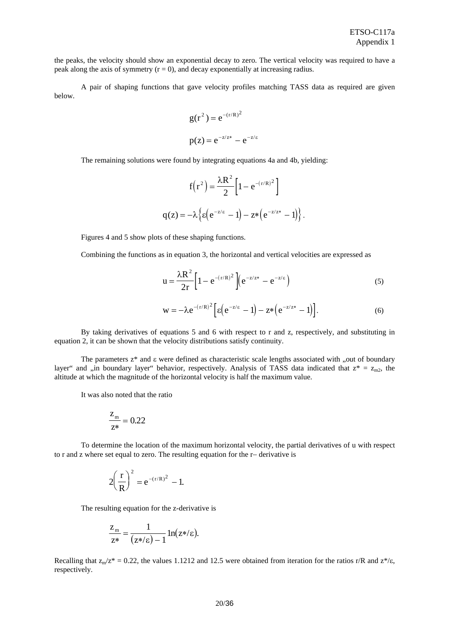the peaks, the velocity should show an exponential decay to zero. The vertical velocity was required to have a peak along the axis of symmetry  $(r = 0)$ , and decay exponentially at increasing radius.

 A pair of shaping functions that gave velocity profiles matching TASS data as required are given below.

$$
g(r^2) = e^{-(r/R)^2}
$$
  
 $p(z) = e^{-z/z^*} - e^{-z/\epsilon}$ 

The remaining solutions were found by integrating equations 4a and 4b, yielding:

$$
f(r2) = \frac{\lambda R2}{2} \left[ 1 - e^{-(r/R)2} \right]
$$

$$
q(z) = -\lambda \left\{ \varepsilon \left( e^{-z/\varepsilon} - 1 \right) - z^* \left( e^{-z/z^*} - 1 \right) \right\}.
$$

Figures 4 and 5 show plots of these shaping functions.

Combining the functions as in equation 3, the horizontal and vertical velocities are expressed as

$$
u = \frac{\lambda R^2}{2r} \left[ 1 - e^{-(r/R)^2} \right] \left( e^{-z/z^*} - e^{-z/\epsilon} \right)
$$
 (5)

$$
\mathbf{w} = -\lambda e^{-(r/R)^2} \Big[ \varepsilon \Big( e^{-z/\varepsilon} - 1 \Big) - z^* \Big( e^{-z/z^*} - 1 \Big) \Big]. \tag{6}
$$

 By taking derivatives of equations 5 and 6 with respect to r and z, respectively, and substituting in equation 2, it can be shown that the velocity distributions satisfy continuity.

The parameters  $z^*$  and  $\varepsilon$  were defined as characteristic scale lengths associated with "out of boundary" layer" and  $\ldots$  in boundary layer" behavior, respectively. Analysis of TASS data indicated that  $z^* = z_{\text{max}}$ , the altitude at which the magnitude of the horizontal velocity is half the maximum value.

It was also noted that the ratio

$$
\frac{Z_{\rm m}}{z^*} = 0.22
$$

 To determine the location of the maximum horizontal velocity, the partial derivatives of u with respect to r and z where set equal to zero. The resulting equation for the r− derivative is

$$
2\left(\frac{r}{R}\right)^2 = e^{-(r/R)^2} - 1.
$$

The resulting equation for the z-derivative is

$$
\frac{z_{\mathrm{m}}}{z^*} = \frac{1}{(z^*/\varepsilon) - 1} \ln(z^*/\varepsilon).
$$

Recalling that  $z_m/z^* = 0.22$ , the values 1.1212 and 12.5 were obtained from iteration for the ratios r/R and  $z^*/\epsilon$ , respectively.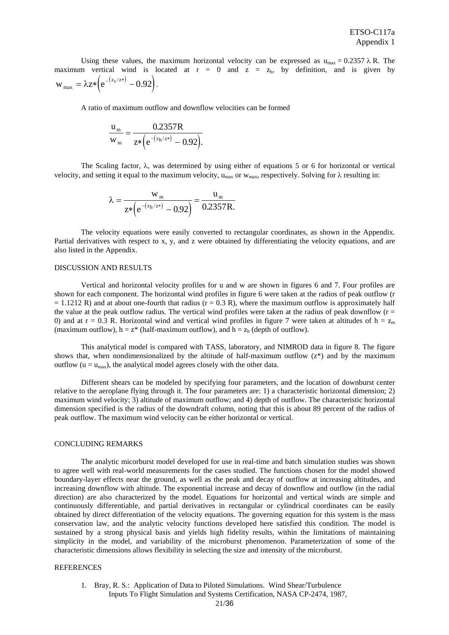Using these values, the maximum horizontal velocity can be expressed as  $u_{\text{max}} = 0.2357 \lambda R$ . The maximum vertical wind is located at  $r = 0$  and  $z = z<sub>h</sub>$ , by definition, and is given by  $w_{\text{max}} = \lambda z * (e^{-(z_{\text{h}}/z*)} - 0.92).$ 

A ratio of maximum outflow and downflow velocities can be formed

$$
\frac{u_{m}}{w_{m}} = \frac{0.2357R}{z*\left(e^{-(z_{h}/z*)} - 0.92\right)}.
$$

The Scaling factor,  $\lambda$ , was determined by using either of equations 5 or 6 for horizontal or vertical velocity, and setting it equal to the maximum velocity,  $u_{max}$  or  $w_{max}$ , respectively. Solving for  $\lambda$  resulting in:

$$
\lambda = \frac{w_m}{z^* \left(e^{-(z_h/z^*)} - 0.92\right)} = \frac{u_m}{0.2357 R.}
$$

 The velocity equations were easily converted to rectangular coordinates, as shown in the Appendix. Partial derivatives with respect to x, y, and z were obtained by differentiating the velocity equations, and are also listed in the Appendix.

### DISCUSSION AND RESULTS

 Vertical and horizontal velocity profiles for u and w are shown in figures 6 and 7. Four profiles are shown for each component. The horizontal wind profiles in figure 6 were taken at the radios of peak outflow (r  $= 1.1212$  R) and at about one-fourth that radius (r = 0.3 R), where the maximum outflow is approximately half the value at the peak outflow radius. The vertical wind profiles were taken at the radius of peak downflow  $(r =$ 0) and at r = 0.3 R. Horizontal wind and vertical wind profiles in figure 7 were taken at altitudes of  $h = z_m$ (maximum outflow),  $h = z^*$  (half-maximum outflow), and  $h = z_h$  (depth of outflow).

 This analytical model is compared with TASS, laboratory, and NIMROD data in figure 8. The figure shows that, when nondimensionalized by the altitude of half-maximum outflow  $(z^*)$  and by the maximum outflow ( $u = u_{max}$ ), the analytical model agrees closely with the other data.

 Different shears can be modeled by specifying four parameters, and the location of downburst center relative to the aeroplane flying through it. The four parameters are: 1) a characteristic horizontal dimension; 2) maximum wind velocity; 3) altitude of maximum outflow; and 4) depth of outflow. The characteristic horizontal dimension specified is the radius of the downdraft column, noting that this is about 89 percent of the radius of peak outflow. The maximum wind velocity can be either horizontal or vertical.

#### CONCLUDING REMARKS

 The analytic micorburst model developed for use in real-time and batch simulation studies was shown to agree well with real-world measurements for the cases studied. The functions chosen for the model showed boundary-layer effects near the ground, as well as the peak and decay of outflow at increasing altitudes, and increasing downflow with altitude. The exponential increase and decay of downflow and outflow (in the radial direction) are also characterized by the model. Equations for horizontal and vertical winds are simple and continuously differentiable, and partial derivatives in rectangular or cylindrical coordinates can be easily obtained by direct differentiation of the velocity equations. The governing equation for this system is the mass conservation law, and the analytic velocity functions developed here satisfied this condition. The model is sustained by a strong physical basis and yields high fidelity results, within the limitations of maintaining simplicity in the model, and variability of the microburst phenomenon. Parameterization of some of the characteristic dimensions allows flexibility in selecting the size and intensity of the microburst.

#### **REFERENCES**

 1. Bray, R. S.: Application of Data to Piloted Simulations. Wind Shear/Turbulence Inputs To Flight Simulation and Systems Certification, NASA CP-2474, 1987,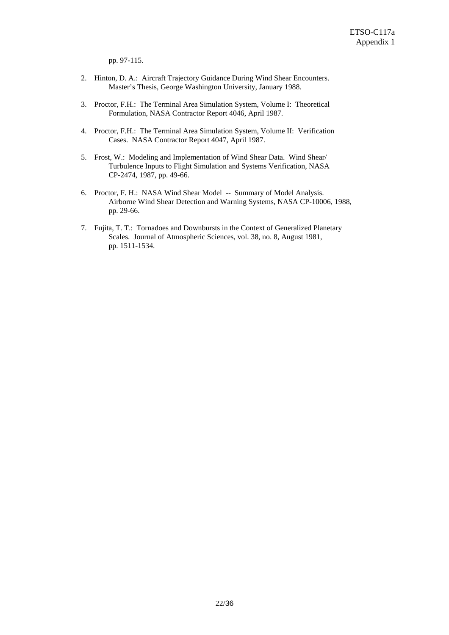pp. 97-115.

- 2. Hinton, D. A.: Aircraft Trajectory Guidance During Wind Shear Encounters. Master's Thesis, George Washington University, January 1988.
- 3. Proctor, F.H.: The Terminal Area Simulation System, Volume I: Theoretical Formulation, NASA Contractor Report 4046, April 1987.
- 4. Proctor, F.H.: The Terminal Area Simulation System, Volume II: Verification Cases. NASA Contractor Report 4047, April 1987.
- 5. Frost, W.: Modeling and Implementation of Wind Shear Data. Wind Shear/ Turbulence Inputs to Flight Simulation and Systems Verification, NASA CP-2474, 1987, pp. 49-66.
- 6. Proctor, F. H.: NASA Wind Shear Model -- Summary of Model Analysis. Airborne Wind Shear Detection and Warning Systems, NASA CP-10006, 1988, pp. 29-66.
- 7. Fujita, T. T.: Tornadoes and Downbursts in the Context of Generalized Planetary Scales. Journal of Atmospheric Sciences, vol. 38, no. 8, August 1981, pp. 1511-1534.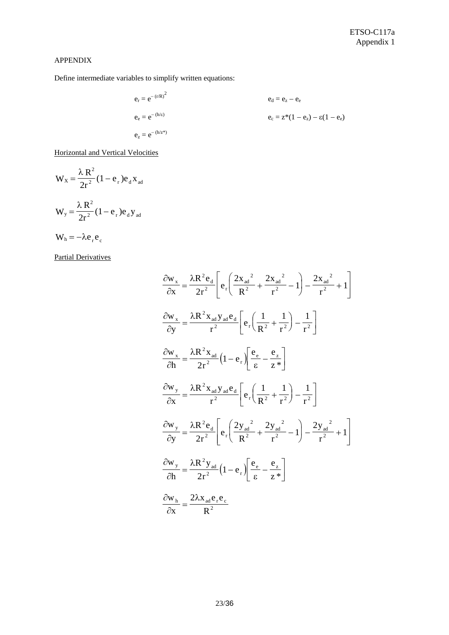# APPENDIX

Define intermediate variables to simplify written equations:

$$
e_r = e^{-(r/R)^2}
$$
  
\n $e_e = e^{-(h/e)}$   
\n $e_z = e^{-(h/e)}$   
\n $e_z = e^{-(h/z^*)}$   
\n $e_z = e^{-(h/z^*)}$   
\n $e_z = e^{-(h/z^*)}$ 

Horizontal and Vertical Velocities

$$
W_x = \frac{\lambda R^2}{2r^2} (1 - e_r) e_d x_{ad}
$$
  

$$
W_y = \frac{\lambda R^2}{2r^2} (1 - e_r) e_d y_{ad}
$$
  

$$
W_h = -\lambda e_r e_c
$$

Partial Derivatives

$$
\frac{\partial w_x}{\partial x} = \frac{\lambda R^2 e_d}{2r^2} \left[ e_r \left( \frac{2x_{ad}^2}{R^2} + \frac{2x_{ad}^2}{r^2} - 1 \right) - \frac{2x_{ad}^2}{r^2} + 1 \right]
$$
  

$$
\frac{\partial w_x}{\partial y} = \frac{\lambda R^2 x_{ad} y_{ad} e_d}{r^2} \left[ e_r \left( \frac{1}{R^2} + \frac{1}{r^2} \right) - \frac{1}{r^2} \right]
$$
  

$$
\frac{\partial w_x}{\partial h} = \frac{\lambda R^2 x_{ad}}{2r^2} \left( 1 - e_r \right) \left[ \frac{e_e}{\epsilon} - \frac{e_z}{z^*} \right]
$$
  

$$
\frac{\partial w_y}{\partial x} = \frac{\lambda R^2 x_{ad} y_{ad} e_d}{r^2} \left[ e_r \left( \frac{1}{R^2} + \frac{1}{r^2} \right) - \frac{1}{r^2} \right]
$$
  

$$
\frac{\partial w_y}{\partial y} = \frac{\lambda R^2 e_d}{2r^2} \left[ e_r \left( \frac{2y_{ad}^2}{R^2} + \frac{2y_{ad}^2}{r^2} - 1 \right) - \frac{2y_{ad}^2}{r^2} + 1 \right]
$$
  

$$
\frac{\partial w_y}{\partial h} = \frac{\lambda R^2 y_{ad}}{2r^2} \left( 1 - e_r \right) \left[ \frac{e_e}{\epsilon} - \frac{e_z}{z^*} \right]
$$
  

$$
\frac{\partial w_h}{\partial x} = \frac{2\lambda x_{ad} e_r e_c}{R^2}
$$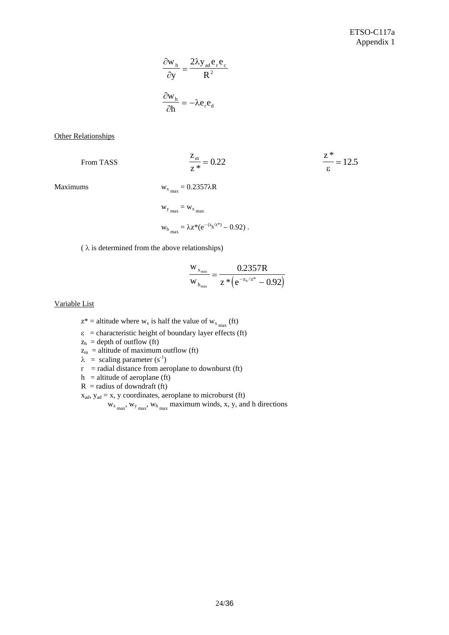$$
\frac{\partial w_{h}}{\partial y} = \frac{2\lambda y_{ad}e_{r}e_{c}}{R^{2}}
$$

$$
\frac{\partial w_{h}}{\partial h} = -\lambda e_{r}e_{d}
$$

**Other Relationships** 

From TASS

$$
\frac{z_{\rm m}}{z^*} = 0.22 \qquad \frac{z^*}{\varepsilon} = 12.5
$$

Maximums  $w_{x_{max}} = 0.2357\lambda R$ 

$$
w_{y_{max}} = w_{x_{max}}
$$
  
 $w_{h_{max}} = \lambda z^*(e^{-(z_h/z^*)} - 0.92)$ .

( $\lambda$  is determined from the above relationships)

$$
\frac{w_{x_{max}}}{w_{h_{max}}} = \frac{0.2357R}{z * (e^{-z_h/z^*} - 0.92)}
$$

Variable List

 $z^*$  = altitude where  $w_x$  is half the value of  $w_{x_{max}}$  (ft)

 $\epsilon$  = characteristic height of boundary layer effects (ft)

 $z_h$  = depth of outflow (ft)

 $z_m$  = altitude of maximum outflow (ft)

 $\lambda$  = scaling parameter (s<sup>-1</sup>)

 $r =$  radial distance from aeroplane to downburst (ft)

 $h =$ altitude of aeroplane (ft)

 $R$  = radius of downdraft (ft)

 $x_{ad}$ ,  $y_{ad} = x$ , y coordinates, aeroplane to microburst (ft)

 $w_{x_{max}}$ ,  $w_{y_{max}}$ ,  $w_{h_{max}}$  maximum winds, x, y, and h directions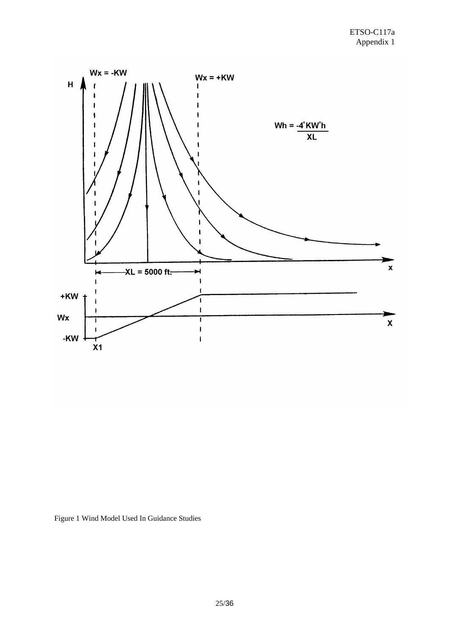

Figure 1 Wind Model Used In Guidance Studies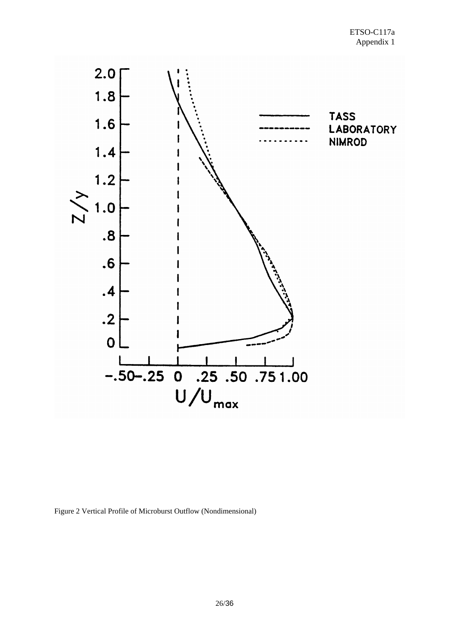

Figure 2 Vertical Profile of Microburst Outflow (Nondimensional)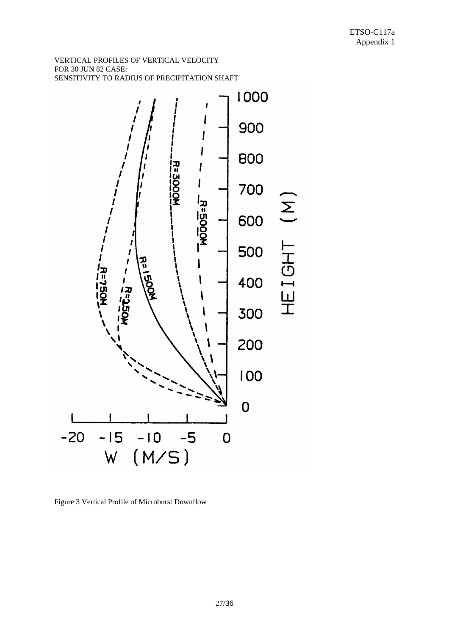## VERTICAL PROFILES OF VERTICAL VELOCITY FOR 30 JUN 82 CASE: SENSITIVITY TO RADIUS OF PRECIPITATION SHAFT



Figure 3 Vertical Profile of Microburst Downflow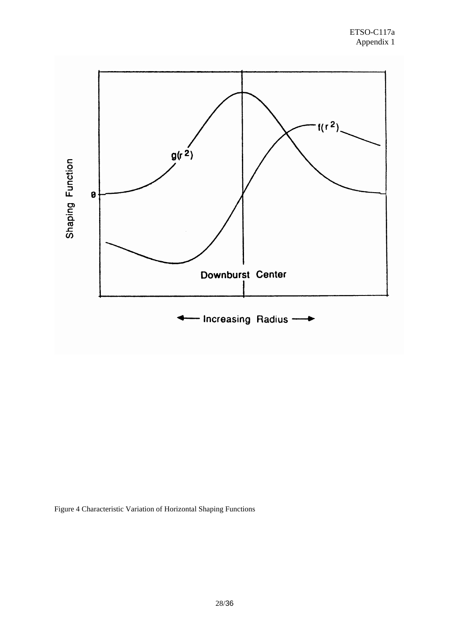

Figure 4 Characteristic Variation of Horizontal Shaping Functions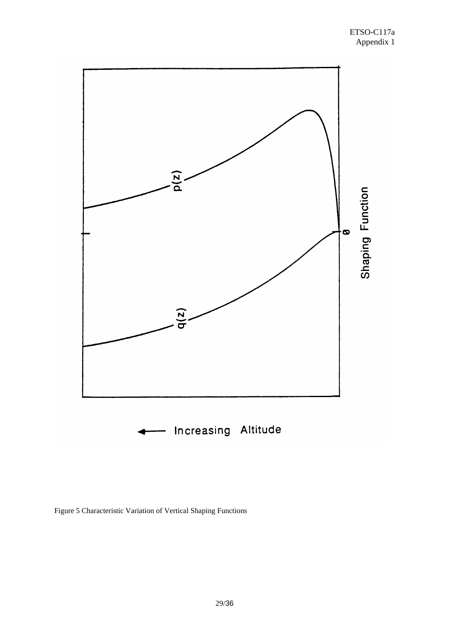

Figure 5 Characteristic Variation of Vertical Shaping Functions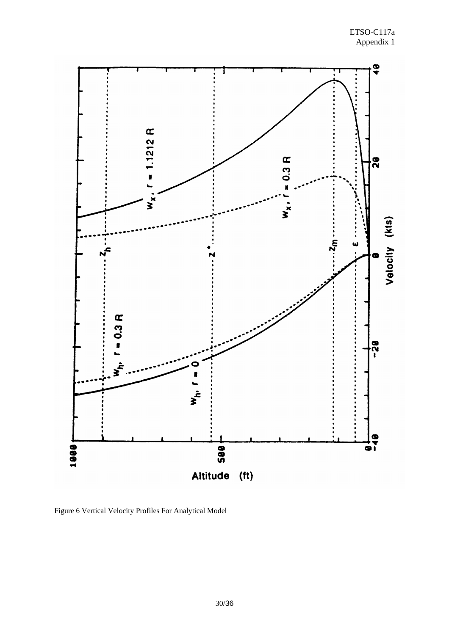

Figure 6 Vertical Velocity Profiles For Analytical Model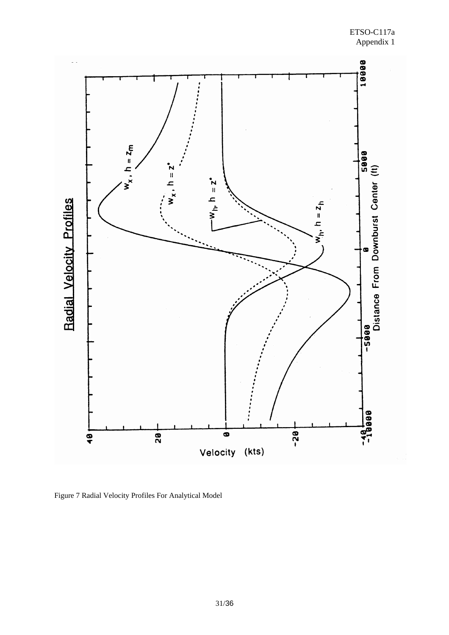

Figure 7 Radial Velocity Profiles For Analytical Model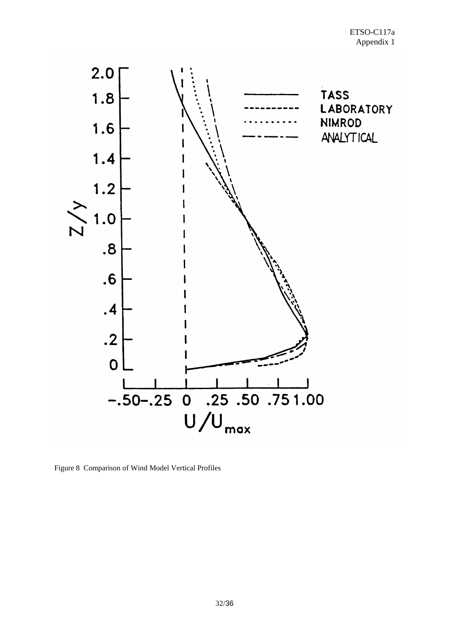

Figure 8 Comparison of Wind Model Vertical Profiles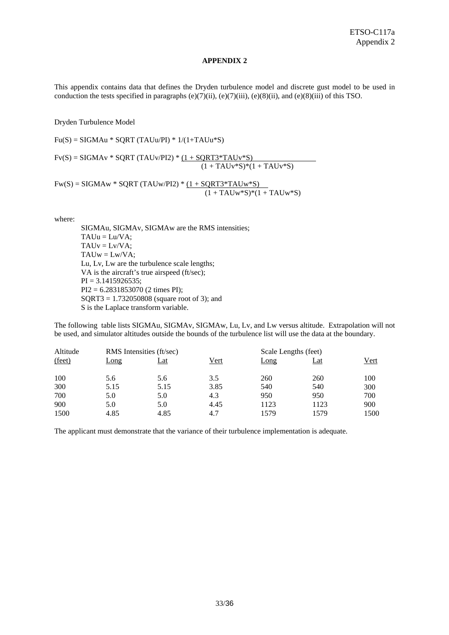## **APPENDIX 2**

This appendix contains data that defines the Dryden turbulence model and discrete gust model to be used in conduction the tests specified in paragraphs  $(e)(7)(ii)$ ,  $(e)(7)(iii)$ ,  $(e)(8)(ii)$ , and  $(e)(8)(iii)$  of this TSO.

Dryden Turbulence Model

 $Fu(S) = SIGMAu * SQRT (TAUu/PI) * 1/(1+TAUu*S)$ 

 $Fv(S) = SIGMAv * SQRT (TAUV/PI2) * (1 + SQRT3*TAUV*S)$  $(1 + \text{TAUv}^*S)^*(1 + \text{TAUv}^*S)$ 

 $Fw(S) = SIGMAw * SQRT (TAUw/PI2) * (1 + SQRT3 * TAUw * S)$  $(1 + TAUw*S)*(1 + TAUw*S)$ 

where:

 SIGMAu, SIGMAv, SIGMAw are the RMS intensities;  $TAUu = Lu/VA$ ;  $TAUv = LvVA$ ;  $TAUw = Lw/VA;$  Lu, Lv, Lw are the turbulence scale lengths; VA is the aircraft's true airspeed (ft/sec);  $PI = 3.1415926535;$  PI2 = 6.2831853070 (2 times PI); SQRT3 = 1.732050808 (square root of 3); and S is the Laplace transform variable.

The following table lists SIGMAu, SIGMAv, SIGMAw, Lu, Lv, and Lw versus altitude. Extrapolation will not be used, and simulator altitudes outside the bounds of the turbulence list will use the data at the boundary.

| Altitude | RMS Intensities (ft/sec) |            |      |      | Scale Lengths (feet) |      |  |
|----------|--------------------------|------------|------|------|----------------------|------|--|
| (feet)   | Long                     | <u>Lat</u> | Vert | Long | <u>Lat</u>           | Vert |  |
| 100      | 5.6                      | 5.6        | 3.5  | 260  | 260                  | 100  |  |
| 300      | 5.15                     | 5.15       | 3.85 | 540  | 540                  | 300  |  |
| 700      | 5.0                      | 5.0        | 4.3  | 950  | 950                  | 700  |  |
| 900      | 5.0                      | 5.0        | 4.45 | 1123 | 1123                 | 900  |  |
| 1500     | 4.85                     | 4.85       | 4.7  | 1579 | 1579                 | 1500 |  |

The applicant must demonstrate that the variance of their turbulence implementation is adequate.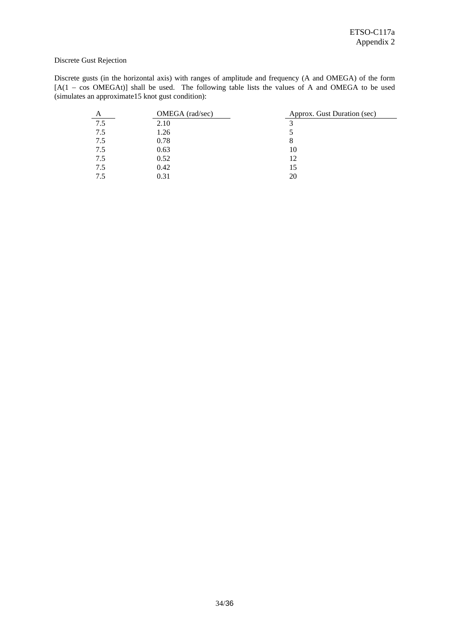# Discrete Gust Rejection

Discrete gusts (in the horizontal axis) with ranges of amplitude and frequency (A and OMEGA) of the form [A(1 – cos OMEGAt)] shall be used. The following table lists the values of A and OMEGA to be used (simulates an approximate15 knot gust condition):

|     | OMEGA (rad/sec) | Approx. Gust Duration (sec) |
|-----|-----------------|-----------------------------|
| 7.5 | 2.10            |                             |
| 7.5 | 1.26            |                             |
| 7.5 | 0.78            |                             |
| 7.5 | 0.63            | 10                          |
| 7.5 | 0.52            | 12                          |
| 7.5 | 0.42            | 15                          |
|     | 0.31            | 20                          |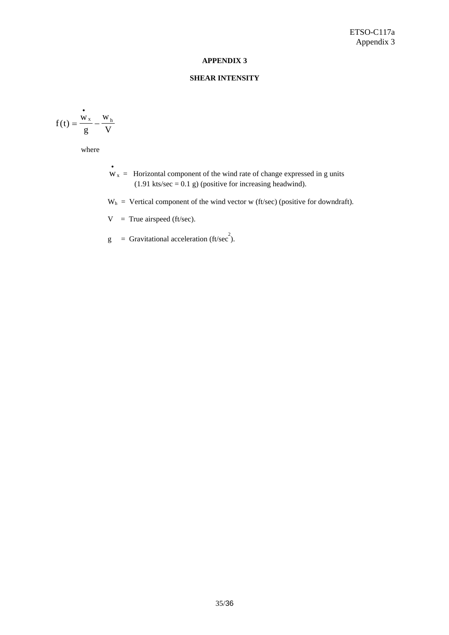## **APPENDIX 3**

# **SHEAR INTENSITY**

$$
f(t) = \frac{v_x}{g} - \frac{w_h}{V}
$$

where

 $\frac{1}{2}$  w<sub>x</sub> = Horizontal component of the wind rate of change expressed in g units  $(1.91 \text{ kts/sec} = 0.1 \text{ g})$  (positive for increasing headwind).

 $W<sub>h</sub>$  = Vertical component of the wind vector w (ft/sec) (positive for downdraft).

 $V = True$  airspeed (ft/sec).

 $g =$  Gravitational acceleration (ft/sec<sup>2</sup>).